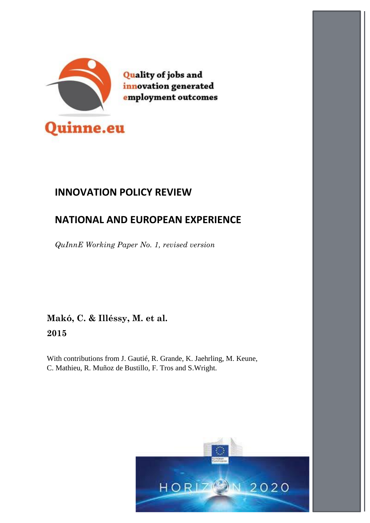

**Quality of jobs and** innovation generated employment outcomes

# **INNOVATION POLICY REVIEW**

# **NATIONAL AND EUROPEAN EXPERIENCE**

*QuInnE Working Paper No. 1, revised version*

**Makó, C. & Illéssy, M. et al. 2015**

With contributions from J. Gautié, R. Grande, K. Jaehrling, M. Keune, C. Mathieu, R. Muñoz de Bustillo, F. Tros and S.Wright.

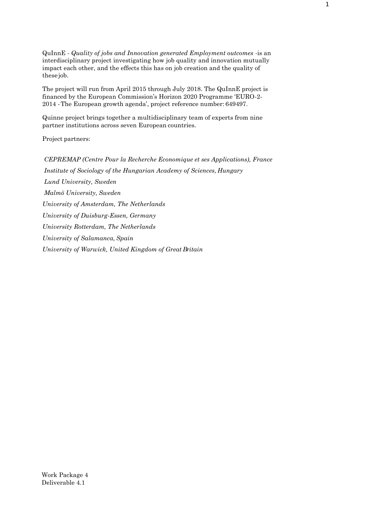QuInnE - *Quality of jobs and Innovation generated Employment outcomes* -is an interdisciplinary project investigating how job quality and innovation mutually impact each other, and the effects this has on job creation and the quality of these job.

The project will run from April 2015 through July 2018. The QuInnE project is financed by the European Commission's Horizon 2020 Programme 'EURO-2- 2014 -The European growth agenda', project reference number: 649497.

Quinne project brings together a multidisciplinary team of experts from nine partner institutions across seven European countries.

Project partners:

*CEPREMAP (Centre Pour la Recherche Economique et ses Applications), France Institute of Sociology of the Hungarian Academy of Sciences, Hungary Lund University, Sweden Malmö University, Sweden University of Amsterdam, The Netherlands University of Duisburg-Essen, Germany University Rotterdam, The Netherlands University of Salamanca, Spain University of Warwick, United Kingdom of Great Britain*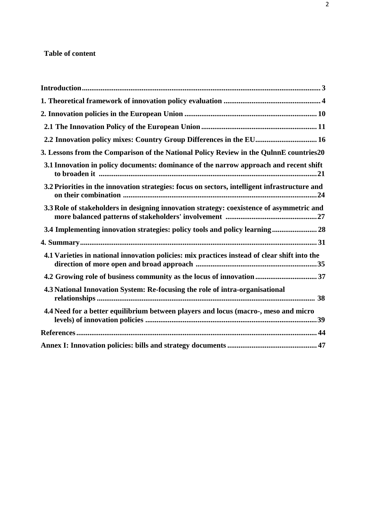# **Table of content**

| 2.2 Innovation policy mixes: Country Group Differences in the EU 16                           |  |
|-----------------------------------------------------------------------------------------------|--|
| 3. Lessons from the Comparison of the National Policy Review in the QulnnE countries20        |  |
| 3.1 Innovation in policy documents: dominance of the narrow approach and recent shift         |  |
| 3.2 Priorities in the innovation strategies: focus on sectors, intelligent infrastructure and |  |
| 3.3 Role of stakeholders in designing innovation strategy: coexistence of asymmetric and      |  |
| 3.4 Implementing innovation strategies: policy tools and policy learning 28                   |  |
|                                                                                               |  |
| 4.1 Varieties in national innovation policies: mix practices instead of clear shift into the  |  |
| 4.2 Growing role of business community as the locus of innovation  37                         |  |
| 4.3 National Innovation System: Re-focusing the role of intra-organisational                  |  |
| 4.4 Need for a better equilibrium between players and locus (macro-, meso and micro           |  |
|                                                                                               |  |
|                                                                                               |  |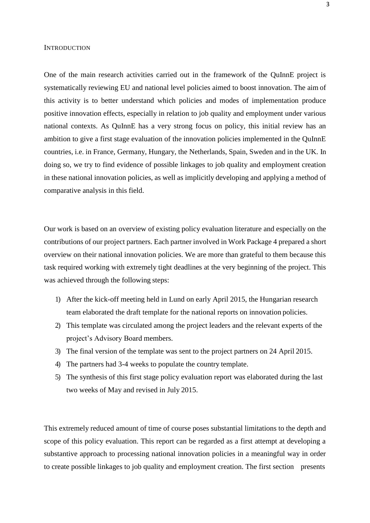#### <span id="page-3-0"></span>**INTRODUCTION**

One of the main research activities carried out in the framework of the QuInnE project is systematically reviewing EU and national level policies aimed to boost innovation. The aim of this activity is to better understand which policies and modes of implementation produce positive innovation effects, especially in relation to job quality and employment under various national contexts. As QuInnE has a very strong focus on policy, this initial review has an ambition to give a first stage evaluation of the innovation policies implemented in the QuInnE countries, i.e. in France, Germany, Hungary, the Netherlands, Spain, Sweden and in the UK. In doing so, we try to find evidence of possible linkages to job quality and employment creation in these national innovation policies, as well as implicitly developing and applying a method of comparative analysis in this field.

Our work is based on an overview of existing policy evaluation literature and especially on the contributions of our project partners. Each partner involved in Work Package 4 prepared a short overview on their national innovation policies. We are more than grateful to them because this task required working with extremely tight deadlines at the very beginning of the project. This was achieved through the following steps:

- 1) After the kick-off meeting held in Lund on early April 2015, the Hungarian research team elaborated the draft template for the national reports on innovation policies.
- 2) This template was circulated among the project leaders and the relevant experts of the project's Advisory Board members.
- 3) The final version of the template was sent to the project partners on 24 April 2015.
- 4) The partners had 3-4 weeks to populate the country template.
- 5) The synthesis of this first stage policy evaluation report was elaborated during the last two weeks of May and revised in July 2015.

This extremely reduced amount of time of course poses substantial limitations to the depth and scope of this policy evaluation. This report can be regarded as a first attempt at developing a substantive approach to processing national innovation policies in a meaningful way in order to create possible linkages to job quality and employment creation. The first section presents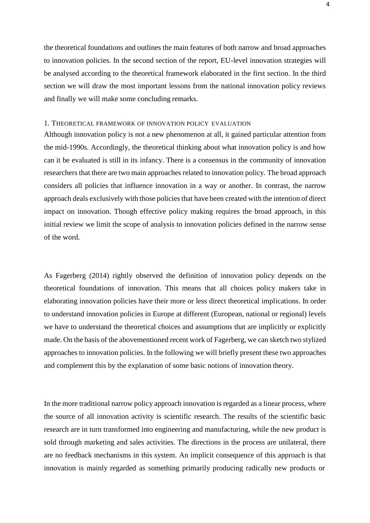the theoretical foundations and outlines the main features of both narrow and broad approaches to innovation policies. In the second section of the report, EU-level innovation strategies will be analysed according to the theoretical framework elaborated in the first section. In the third section we will draw the most important lessons from the national innovation policy reviews and finally we will make some concluding remarks.

### <span id="page-4-0"></span>1. THEORETICAL FRAMEWORK OF INNOVATION POLICY EVALUATION

Although innovation policy is not a new phenomenon at all, it gained particular attention from the mid-1990s. Accordingly, the theoretical thinking about what innovation policy is and how can it be evaluated is still in its infancy. There is a consensus in the community of innovation researchers that there are two main approaches related to innovation policy. The broad approach considers all policies that influence innovation in a way or another. In contrast, the narrow approach deals exclusively with those policies that have been created with the intention of direct impact on innovation. Though effective policy making requires the broad approach, in this initial review we limit the scope of analysis to innovation policies defined in the narrow sense of the word.

As Fagerberg (2014) rightly observed the definition of innovation policy depends on the theoretical foundations of innovation. This means that all choices policy makers take in elaborating innovation policies have their more or less direct theoretical implications. In order to understand innovation policies in Europe at different (European, national or regional) levels we have to understand the theoretical choices and assumptions that are implicitly or explicitly made. On the basis of the abovementioned recent work of Fagerberg, we can sketch two stylized approaches to innovation policies. In the following we will briefly present these two approaches and complement this by the explanation of some basic notions of innovation theory.

In the more traditional narrow policy approach innovation is regarded as a linear process, where the source of all innovation activity is scientific research. The results of the scientific basic research are in turn transformed into engineering and manufacturing, while the new product is sold through marketing and sales activities. The directions in the process are unilateral, there are no feedback mechanisms in this system. An implicit consequence of this approach is that innovation is mainly regarded as something primarily producing radically new products or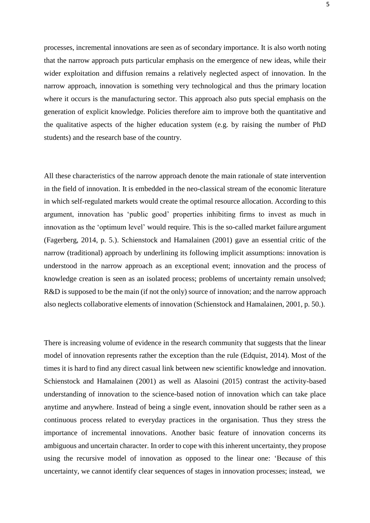processes, incremental innovations are seen as of secondary importance. It is also worth noting that the narrow approach puts particular emphasis on the emergence of new ideas, while their wider exploitation and diffusion remains a relatively neglected aspect of innovation. In the narrow approach, innovation is something very technological and thus the primary location where it occurs is the manufacturing sector. This approach also puts special emphasis on the generation of explicit knowledge. Policies therefore aim to improve both the quantitative and the qualitative aspects of the higher education system (e.g. by raising the number of PhD students) and the research base of the country.

All these characteristics of the narrow approach denote the main rationale of state intervention in the field of innovation. It is embedded in the neo-classical stream of the economic literature in which self-regulated markets would create the optimal resource allocation. According to this argument, innovation has 'public good' properties inhibiting firms to invest as much in innovation as the 'optimum level' would require. This is the so-called market failure argument (Fagerberg, 2014, p. 5.). Schienstock and Hamalainen (2001) gave an essential critic of the narrow (traditional) approach by underlining its following implicit assumptions: innovation is understood in the narrow approach as an exceptional event; innovation and the process of knowledge creation is seen as an isolated process; problems of uncertainty remain unsolved; R&D is supposed to be the main (if not the only) source of innovation; and the narrow approach also neglects collaborative elements of innovation (Schienstock and Hamalainen, 2001, p. 50.).

There is increasing volume of evidence in the research community that suggests that the linear model of innovation represents rather the exception than the rule (Edquist, 2014). Most of the times it is hard to find any direct casual link between new scientific knowledge and innovation. Schienstock and Hamalainen (2001) as well as Alasoini (2015) contrast the activity-based understanding of innovation to the science-based notion of innovation which can take place anytime and anywhere. Instead of being a single event, innovation should be rather seen as a continuous process related to everyday practices in the organisation. Thus they stress the importance of incremental innovations. Another basic feature of innovation concerns its ambiguous and uncertain character. In order to cope with this inherent uncertainty, they propose using the recursive model of innovation as opposed to the linear one: 'Because of this uncertainty, we cannot identify clear sequences of stages in innovation processes; instead, we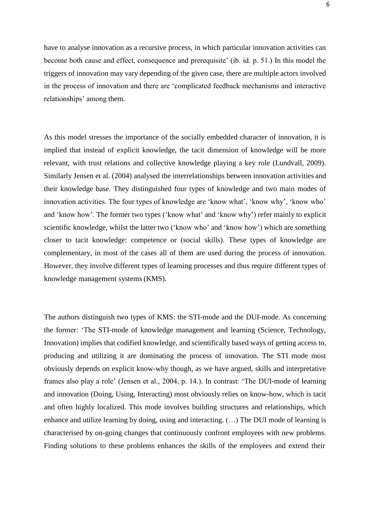have to analyse innovation as a recursive process, in which particular innovation activities can become both cause and effect, consequence and prerequisite' (ib. id. p. 51.) In this model the triggers of innovation may vary depending of the given case, there are multiple actors involved in the process of innovation and there are 'complicated feedback mechanisms and interactive relationships' among them.

As this model stresses the importance of the socially embedded character of innovation, it is implied that instead of explicit knowledge, the tacit dimension of knowledge will be more relevant, with trust relations and collective knowledge playing a key role (Lundvall, 2009). Similarly Jensen et al. (2004) analysed the interrelationships between innovation activities and their knowledge base. They distinguished four types of knowledge and two main modes of innovation activities. The four types of knowledge are 'know what', 'know why', 'know who' and 'know how'. The former two types ('know what' and 'know why') refer mainly to explicit scientific knowledge, whilst the latter two ('know who' and 'know how') which are something closer to tacit knowledge: competence or (social skills). These types of knowledge are complementary, in most of the cases all of them are used during the process of innovation. However, they involve different types of learning processes and thus require different types of knowledge management systems (KMS).

The authors distinguish two types of KMS: the STI-mode and the DUI-mode. As concerning the former: 'The STI-mode of knowledge management and learning (Science, Technology, Innovation) implies that codified knowledge, and scientifically based ways of getting access to, producing and utilizing it are dominating the process of innovation. The STI mode most obviously depends on explicit know-why though, as we have argued, skills and interpretative frames also play a role' (Jensen et al., 2004, p. 14.). In contrast: 'The DUI-mode of learning and innovation (Doing, Using, Interacting) most obviously relies on know-how, which is tacit and often highly localized. This mode involves building structures and relationships, which enhance and utilize learning by doing, using and interacting. (…) The DUI mode of learning is characterised by on-going changes that continuously confront employees with new problems. Finding solutions to these problems enhances the skills of the employees and extend their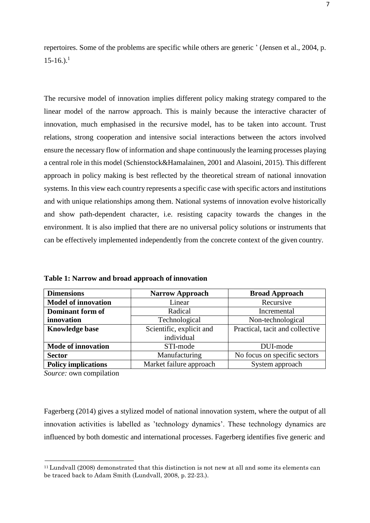repertoires. Some of the problems are specific while others are generic ' (Jensen et al., 2004, p.  $15-16.$  $15-16.$ ).<sup>1</sup>

The recursive model of innovation implies different policy making strategy compared to the linear model of the narrow approach. This is mainly because the interactive character of innovation, much emphasised in the recursive model, has to be taken into account. Trust relations, strong cooperation and intensive social interactions between the actors involved ensure the necessary flow of information and shape continuously the learning processes playing a central role in this model (Schienstock&Hamalainen, 2001 and Alasoini, 2015). This different approach in policy making is best reflected by the theoretical stream of national innovation systems. In this view each country represents a specific case with specific actors and institutions and with unique relationships among them. National systems of innovation evolve historically and show path-dependent character, i.e. resisting capacity towards the changes in the environment. It is also implied that there are no universal policy solutions or instruments that can be effectively implemented independently from the concrete context of the given country.

**Table 1: Narrow and broad approach of innovation**

| <b>Dimensions</b>          | <b>Narrow Approach</b>                                      | <b>Broad Approach</b>        |
|----------------------------|-------------------------------------------------------------|------------------------------|
| <b>Model of innovation</b> | Linear                                                      | Recursive                    |
| Dominant form of           | Radical                                                     | Incremental                  |
| innovation                 | Technological                                               | Non-technological            |
| <b>Knowledge base</b>      | Scientific, explicit and<br>Practical, tacit and collective |                              |
|                            | individual                                                  |                              |
| <b>Mode of innovation</b>  | STI-mode                                                    | DUI-mode                     |
| <b>Sector</b>              | Manufacturing                                               | No focus on specific sectors |
| <b>Policy implications</b> | Market failure approach                                     | System approach              |

*Source:* own compilation

Fagerberg (2014) gives a stylized model of national innovation system, where the output of all innovation activities is labelled as 'technology dynamics'. These technology dynamics are influenced by both domestic and international processes. Fagerberg identifies five generic and

<span id="page-7-0"></span><sup>11</sup>Lundvall (2008) demonstrated that this distinction is not new at all and some its elements can be traced back to Adam Smith (Lundvall, 2008, p. 22-23.).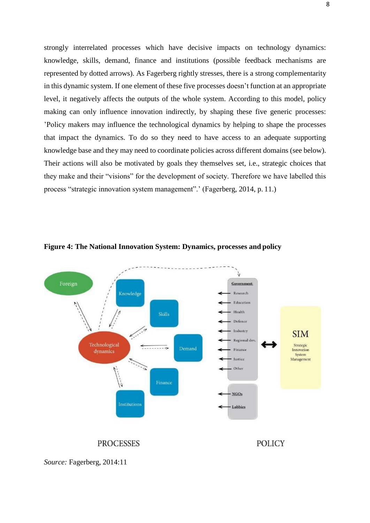strongly interrelated processes which have decisive impacts on technology dynamics: knowledge, skills, demand, finance and institutions (possible feedback mechanisms are represented by dotted arrows). As Fagerberg rightly stresses, there is a strong complementarity in this dynamic system. If one element of these five processes doesn't function at an appropriate level, it negatively affects the outputs of the whole system. According to this model, policy making can only influence innovation indirectly, by shaping these five generic processes: 'Policy makers may influence the technological dynamics by helping to shape the processes that impact the dynamics. To do so they need to have access to an adequate supporting knowledge base and they may need to coordinate policies across different domains (see below). Their actions will also be motivated by goals they themselves set, i.e., strategic choices that they make and their "visions" for the development of society. Therefore we have labelled this process "strategic innovation system management".' (Fagerberg, 2014, p. 11.)



**Figure 4: The National Innovation System: Dynamics, processes and policy**

*Source:* Fagerberg, 2014:11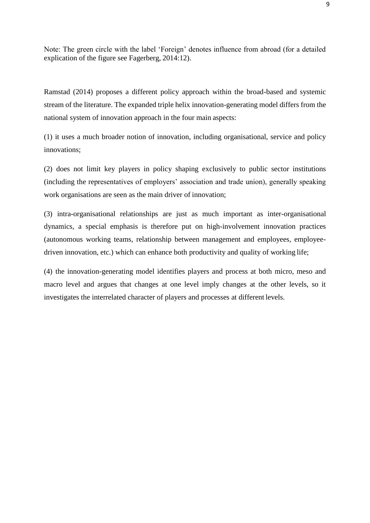Note: The green circle with the label 'Foreign' denotes influence from abroad (for a detailed explication of the figure see Fagerberg, 2014:12).

Ramstad (2014) proposes a different policy approach within the broad-based and systemic stream of the literature. The expanded triple helix innovation-generating model differs from the national system of innovation approach in the four main aspects:

(1) it uses a much broader notion of innovation, including organisational, service and policy innovations;

(2) does not limit key players in policy shaping exclusively to public sector institutions (including the representatives of employers' association and trade union), generally speaking work organisations are seen as the main driver of innovation;

(3) intra-organisational relationships are just as much important as inter-organisational dynamics, a special emphasis is therefore put on high-involvement innovation practices (autonomous working teams, relationship between management and employees, employeedriven innovation, etc.) which can enhance both productivity and quality of working life;

(4) the innovation-generating model identifies players and process at both micro, meso and macro level and argues that changes at one level imply changes at the other levels, so it investigates the interrelated character of players and processes at different levels.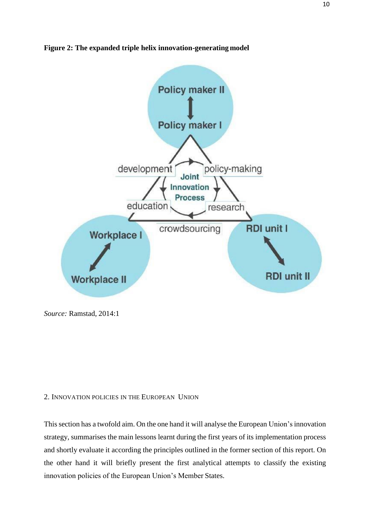



*Source:* Ramstad, 2014:1

### <span id="page-10-0"></span>2. INNOVATION POLICIES IN THE EUROPEAN UNION

This section has a twofold aim. On the one hand it will analyse the European Union's innovation strategy, summarises the main lessons learnt during the first years of its implementation process and shortly evaluate it according the principles outlined in the former section of this report. On the other hand it will briefly present the first analytical attempts to classify the existing innovation policies of the European Union's Member States.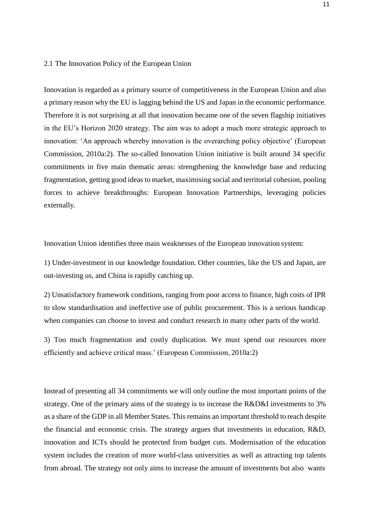#### <span id="page-11-0"></span>2.1 The Innovation Policy of the European Union

Innovation is regarded as a primary source of competitiveness in the European Union and also a primary reason why the EU is lagging behind the US and Japan in the economic performance. Therefore it is not surprising at all that innovation became one of the seven flagship initiatives in the EU's Horizon 2020 strategy. The aim was to adopt a much more strategic approach to innovation: 'An approach whereby innovation is the overarching policy objective' (European Commission, 2010a:2). The so-called Innovation Union initiative is built around 34 specific commitments in five main thematic areas: strengthening the knowledge base and reducing fragmentation, getting good ideas to market, maximising social and territorial cohesion, pooling forces to achieve breakthroughs: European Innovation Partnerships, leveraging policies externally.

Innovation Union identifies three main weaknesses of the European innovation system:

1) Under-investment in our knowledge foundation. Other countries, like the US and Japan, are out-investing us, and China is rapidly catching up.

2) Unsatisfactory framework conditions, ranging from poor access to finance, high costs of IPR to slow standardisation and ineffective use of public procurement. This is a serious handicap when companies can choose to invest and conduct research in many other parts of the world.

3) Too much fragmentation and costly duplication. We must spend our resources more efficiently and achieve critical mass.' (European Commission, 2010a:2)

Instead of presenting all 34 commitments we will only outline the most important points of the strategy. One of the primary aims of the strategy is to increase the R&D&I investments to 3% as a share of the GDP in all Member States. This remains an important threshold to reach despite the financial and economic crisis. The strategy argues that investments in education, R&D, innovation and ICTs should be protected from budget cuts. Modernisation of the education system includes the creation of more world-class universities as well as attracting top talents from abroad. The strategy not only aims to increase the amount of investments but also wants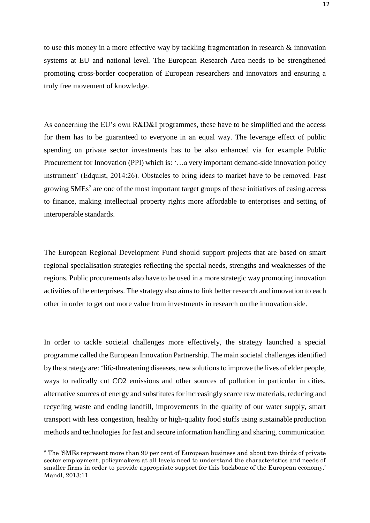to use this money in a more effective way by tackling fragmentation in research & innovation systems at EU and national level. The European Research Area needs to be strengthened promoting cross-border cooperation of European researchers and innovators and ensuring a truly free movement of knowledge.

As concerning the EU's own R&D&I programmes, these have to be simplified and the access for them has to be guaranteed to everyone in an equal way. The leverage effect of public spending on private sector investments has to be also enhanced via for example Public Procurement for Innovation (PPI) which is: '...a very important demand-side innovation policy instrument' (Edquist, 2014:26). Obstacles to bring ideas to market have to be removed. Fast growing  $\text{SMEs}^2$  $\text{SMEs}^2$  are one of the most important target groups of these initiatives of easing access to finance, making intellectual property rights more affordable to enterprises and setting of interoperable standards.

The European Regional Development Fund should support projects that are based on smart regional specialisation strategies reflecting the special needs, strengths and weaknesses of the regions. Public procurements also have to be used in a more strategic way promoting innovation activities of the enterprises. The strategy also aims to link better research and innovation to each other in order to get out more value from investments in research on the innovation side.

In order to tackle societal challenges more effectively, the strategy launched a special programme called the European Innovation Partnership. The main societal challenges identified by the strategy are: 'life-threatening diseases, new solutionsto improve the lives of elder people, ways to radically cut CO2 emissions and other sources of pollution in particular in cities, alternative sources of energy and substitutes for increasingly scarce raw materials, reducing and recycling waste and ending landfill, improvements in the quality of our water supply, smart transport with less congestion, healthy or high-quality food stuffs using sustainable production methods and technologies for fast and secure information handling and sharing, communication

<span id="page-12-0"></span><sup>2</sup> The 'SMEs represent more than 99 per cent of European business and about two thirds of private sector employment, policymakers at all levels need to understand the characteristics and needs of smaller firms in order to provide appropriate support for this backbone of the European economy.' Mandl, 2013:11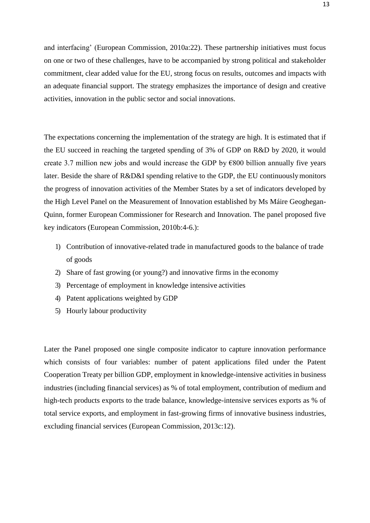and interfacing' (European Commission, 2010a:22). These partnership initiatives must focus on one or two of these challenges, have to be accompanied by strong political and stakeholder commitment, clear added value for the EU, strong focus on results, outcomes and impacts with an adequate financial support. The strategy emphasizes the importance of design and creative activities, innovation in the public sector and social innovations.

The expectations concerning the implementation of the strategy are high. It is estimated that if the EU succeed in reaching the targeted spending of 3% of GDP on R&D by 2020, it would create 3.7 million new jobs and would increase the GDP by  $\epsilon$ 800 billion annually five years later. Beside the share of R&D&I spending relative to the GDP, the EU continuouslymonitors the progress of innovation activities of the Member States by a set of indicators developed by the High Level Panel on the Measurement of Innovation established by Ms Máire Geoghegan-Quinn, former European Commissioner for Research and Innovation. The panel proposed five key indicators (European Commission, 2010b:4-6.):

- 1) Contribution of innovative-related trade in manufactured goods to the balance of trade of goods
- 2) Share of fast growing (or young?) and innovative firms in the economy
- 3) Percentage of employment in knowledge intensive activities
- 4) Patent applications weighted by GDP
- 5) Hourly labour productivity

Later the Panel proposed one single composite indicator to capture innovation performance which consists of four variables: number of patent applications filed under the Patent Cooperation Treaty per billion GDP, employment in knowledge-intensive activities in business industries (including financial services) as % of total employment, contribution of medium and high-tech products exports to the trade balance, knowledge-intensive services exports as % of total service exports, and employment in fast-growing firms of innovative business industries, excluding financial services (European Commission, 2013c:12).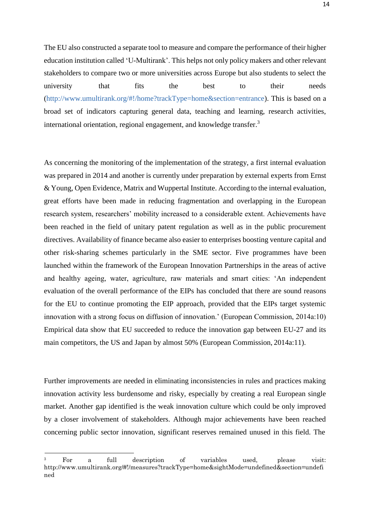The EU also constructed a separate tool to measure and compare the performance of their higher education institution called 'U-Multirank'. This helps not only policy makers and other relevant stakeholders to compare two or more universities across Europe but also students to select the university that fits the best to their needs [\(http://www.umultirank.org/#!/home?trackType=home&section=entrance\)](http://www.umultirank.org/%23!/home?trackType=home&section=entrance). This is based on a broad set of indicators capturing general data, teaching and learning, research activities, international orientation, regional engagement, and knowledge transfer.[3](#page-14-0)

As concerning the monitoring of the implementation of the strategy, a first internal evaluation was prepared in 2014 and another is currently under preparation by external experts from Ernst & Young, Open Evidence, Matrix and Wuppertal Institute. According to the internal evaluation, great efforts have been made in reducing fragmentation and overlapping in the European research system, researchers' mobility increased to a considerable extent. Achievements have been reached in the field of unitary patent regulation as well as in the public procurement directives. Availability of finance became also easier to enterprises boosting venture capital and other risk-sharing schemes particularly in the SME sector. Five programmes have been launched within the framework of the European Innovation Partnerships in the areas of active and healthy ageing, water, agriculture, raw materials and smart cities: 'An independent evaluation of the overall performance of the EIPs has concluded that there are sound reasons for the EU to continue promoting the EIP approach, provided that the EIPs target systemic innovation with a strong focus on diffusion of innovation.' (European Commission, 2014a:10) Empirical data show that EU succeeded to reduce the innovation gap between EU-27 and its main competitors, the US and Japan by almost 50% (European Commission, 2014a:11).

Further improvements are needed in eliminating inconsistencies in rules and practices making innovation activity less burdensome and risky, especially by creating a real European single market. Another gap identified is the weak innovation culture which could be only improved by a closer involvement of stakeholders. Although major achievements have been reached concerning public sector innovation, significant reserves remained unused in this field. The

<span id="page-14-0"></span><sup>3</sup> For a full description of variables used, please visit[:](http://www.umultirank.org/%23!/measures?trackType=home&sightMode=undefined&section=undefi) [http://www.umultirank.org/#!/measures?trackType=home&sightMode=undefined&section=undefi](http://www.umultirank.org/%23!/measures?trackType=home&sightMode=undefined&section=undefi) ned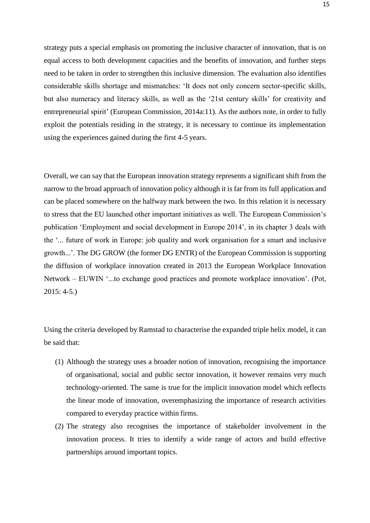strategy puts a special emphasis on promoting the inclusive character of innovation, that is on equal access to both development capacities and the benefits of innovation, and further steps need to be taken in order to strengthen this inclusive dimension. The evaluation also identifies considerable skills shortage and mismatches: 'It does not only concern sector-specific skills, but also numeracy and literacy skills, as well as the '21st century skills' for creativity and entrepreneurial spirit' (European Commission, 2014a:11). As the authors note, in order to fully exploit the potentials residing in the strategy, it is necessary to continue its implementation using the experiences gained during the first 4-5 years.

Overall, we can say that the European innovation strategy represents a significant shift from the narrow to the broad approach of innovation policy although it is far from its full application and can be placed somewhere on the halfway mark between the two. In this relation it is necessary to stress that the EU launched other important initiatives as well. The European Commission's publication 'Employment and social development in Europe 2014', in its chapter 3 deals with the '... future of work in Europe: job quality and work organisation for a smart and inclusive growth...'. The DG GROW (the former DG ENTR) of the European Commission is supporting the diffusion of workplace innovation created in 2013 the European Workplace Innovation Network – EUWIN '...to exchange good practices and promote workplace innovation'. (Pot, 2015: 4-5.)

Using the criteria developed by Ramstad to characterise the expanded triple helix model, it can be said that:

- (1) Although the strategy uses a broader notion of innovation, recognising the importance of organisational, social and public sector innovation, it however remains very much technology-oriented. The same is true for the implicit innovation model which reflects the linear mode of innovation, overemphasizing the importance of research activities compared to everyday practice within firms.
- (2) The strategy also recognises the importance of stakeholder involvement in the innovation process. It tries to identify a wide range of actors and build effective partnerships around important topics.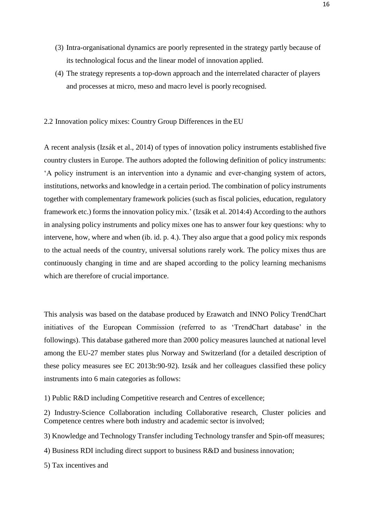- (3) Intra-organisational dynamics are poorly represented in the strategy partly because of its technological focus and the linear model of innovation applied.
- (4) The strategy represents a top-down approach and the interrelated character of players and processes at micro, meso and macro level is poorly recognised.

## <span id="page-16-0"></span>2.2 Innovation policy mixes: Country Group Differences in the EU

A recent analysis (Izsák et al., 2014) of types of innovation policy instruments established five country clusters in Europe. The authors adopted the following definition of policy instruments: 'A policy instrument is an intervention into a dynamic and ever-changing system of actors, institutions, networks and knowledge in a certain period. The combination of policy instruments together with complementary framework policies (such as fiscal policies, education, regulatory framework etc.) forms the innovation policy mix.' (Izsák et al. 2014:4) According to the authors in analysing policy instruments and policy mixes one has to answer four key questions: why to intervene, how, where and when (ib. id. p. 4.). They also argue that a good policy mix responds to the actual needs of the country, universal solutions rarely work. The policy mixes thus are continuously changing in time and are shaped according to the policy learning mechanisms which are therefore of crucial importance.

This analysis was based on the database produced by Erawatch and INNO Policy TrendChart initiatives of the European Commission (referred to as 'TrendChart database' in the followings). This database gathered more than 2000 policy measures launched at national level among the EU-27 member states plus Norway and Switzerland (for a detailed description of these policy measures see EC 2013b:90-92). Izsák and her colleagues classified these policy instruments into 6 main categories as follows:

- 1) Public R&D including Competitive research and Centres of excellence;
- 2) Industry-Science Collaboration including Collaborative research, Cluster policies and Competence centres where both industry and academic sector is involved;
- 3) Knowledge and Technology Transfer including Technology transfer and Spin-off measures;
- 4) Business RDI including direct support to business R&D and business innovation;
- 5) Tax incentives and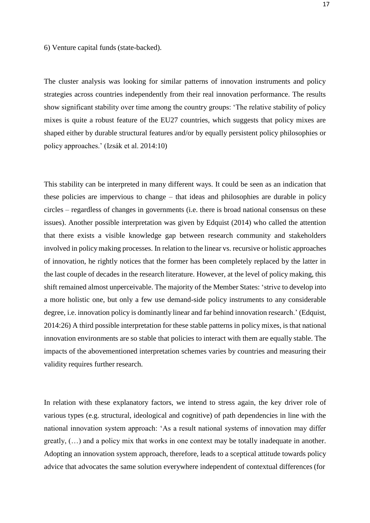6) Venture capital funds (state-backed).

The cluster analysis was looking for similar patterns of innovation instruments and policy strategies across countries independently from their real innovation performance. The results show significant stability over time among the country groups: 'The relative stability of policy mixes is quite a robust feature of the EU27 countries, which suggests that policy mixes are shaped either by durable structural features and/or by equally persistent policy philosophies or policy approaches.' (Izsák et al. 2014:10)

This stability can be interpreted in many different ways. It could be seen as an indication that these policies are impervious to change – that ideas and philosophies are durable in policy circles – regardless of changes in governments (i.e. there is broad national consensus on these issues). Another possible interpretation was given by Edquist (2014) who called the attention that there exists a visible knowledge gap between research community and stakeholders involved in policymaking processes. In relation to the linear vs. recursive or holistic approaches of innovation, he rightly notices that the former has been completely replaced by the latter in the last couple of decades in the research literature. However, at the level of policy making, this shift remained almost unperceivable. The majority of the Member States: 'strive to develop into a more holistic one, but only a few use demand-side policy instruments to any considerable degree, i.e. innovation policy is dominantly linear and far behind innovation research.' (Edquist, 2014:26) A third possible interpretation for these stable patterns in policy mixes, is that national innovation environments are so stable that policies to interact with them are equally stable. The impacts of the abovementioned interpretation schemes varies by countries and measuring their validity requires further research.

In relation with these explanatory factors, we intend to stress again, the key driver role of various types (e.g. structural, ideological and cognitive) of path dependencies in line with the national innovation system approach: 'As a result national systems of innovation may differ greatly, (…) and a policy mix that works in one context may be totally inadequate in another. Adopting an innovation system approach, therefore, leads to a sceptical attitude towards policy advice that advocates the same solution everywhere independent of contextual differences (for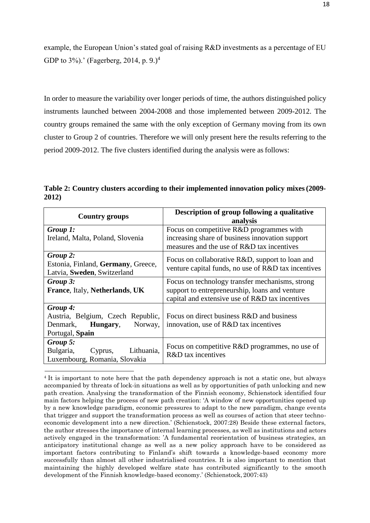example, the European Union's stated goal of raising R&D investments as a percentage of EU GDP to 3%).' (Fagerberg, 201[4](#page-18-0), p. 9.)<sup>4</sup>

In order to measure the variability over longer periods of time, the authors distinguished policy instruments launched between 2004-2008 and those implemented between 2009-2012. The country groups remained the same with the only exception of Germany moving from its own cluster to Group 2 of countries. Therefore we will only present here the results referring to the period 2009-2012. The five clusters identified during the analysis were as follows:

**Table 2: Country clusters according to their implemented innovation policy mixes(2009- 2012)**

| <b>Country groups</b>                                                                   | Description of group following a qualitative<br>analysis                                               |
|-----------------------------------------------------------------------------------------|--------------------------------------------------------------------------------------------------------|
| Group 1:                                                                                | Focus on competitive R&D programmes with                                                               |
| Ireland, Malta, Poland, Slovenia                                                        | increasing share of business innovation support                                                        |
|                                                                                         | measures and the use of R&D tax incentives                                                             |
| Group 2:<br>Estonia, Finland, Germany, Greece,<br>Latvia, Sweden, Switzerland           | Focus on collaborative R&D, support to loan and<br>venture capital funds, no use of R&D tax incentives |
| Group 3:                                                                                | Focus on technology transfer mechanisms, strong                                                        |
| France, Italy, Netherlands, UK                                                          | support to entrepreneurship, loans and venture<br>capital and extensive use of R&D tax incentives      |
| Group 4:                                                                                |                                                                                                        |
| Austria, Belgium, Czech Republic,<br>Norway,<br>Denmark,<br>Hungary,<br>Portugal, Spain | Focus on direct business R&D and business<br>innovation, use of R&D tax incentives                     |
| Group 5:<br>Bulgaria,<br>Lithuania,<br>Cyprus,<br>Luxembourg, Romania, Slovakia         | Focus on competitive R&D programmes, no use of<br>R&D tax incentives                                   |

<span id="page-18-0"></span><sup>4</sup>It is important to note here that the path dependency approach is not a static one, but always accompanied by threats of lock-in situations as well as by opportunities of path unlocking and new path creation. Analysing the transformation of the Finnish economy, Schienstock identified four main factors helping the process of new path creation: 'A window of new opportunities opened up by a new knowledge paradigm, economic pressures to adapt to the new paradigm, change events that trigger and support the transformation process as well as courses of action that steer technoeconomic development into a new direction.' (Schienstock, 2007:28) Beside these external factors, the author stresses the importance of internal learning processes, as well as institutions and actors actively engaged in the transformation: 'A fundamental reorientation of business strategies, an anticipatory institutional change as well as a new policy approach have to be considered as important factors contributing to Finland's shift towards a knowledge-based economy more successfully than almost all other industrialised countries. It is also important to mention that maintaining the highly developed welfare state has contributed significantly to the smooth development of the Finnish knowledge-based economy.' (Schienstock, 2007:43)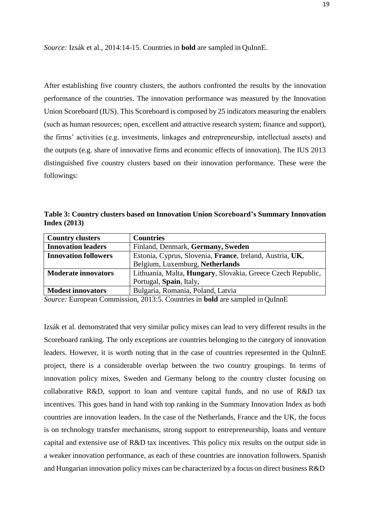*Source:* Izsák et al., 2014:14-15. Countries in **bold** are sampled in QuInnE.

After establishing five country clusters, the authors confronted the results by the innovation performance of the countries. The innovation performance was measured by the Innovation Union Scoreboard (IUS). This Scoreboard is composed by 25 indicators measuring the enablers (such as human resources; open, excellent and attractive research system; finance and support), the firms' activities (e.g. investments, linkages and entrepreneurship, intellectual assets) and the outputs (e.g. share of innovative firms and economic effects of innovation). The IUS 2013 distinguished five country clusters based on their innovation performance. These were the followings:

**Table 3: Country clusters based on Innovation Union Scoreboard's Summary Innovation Index (2013)**

| <b>Country clusters</b>     | <b>Countries</b>                                                    |
|-----------------------------|---------------------------------------------------------------------|
| <b>Innovation leaders</b>   | Finland, Denmark, Germany, Sweden                                   |
| <b>Innovation followers</b> | Estonia, Cyprus, Slovenia, France, Ireland, Austria, UK,            |
|                             | Belgium, Luxemburg, Netherlands                                     |
| <b>Moderate innovators</b>  | Lithuania, Malta, <b>Hungary</b> , Slovakia, Greece Czech Republic, |
|                             | Portugal, Spain, Italy,                                             |
| <b>Modest innovators</b>    | Bulgaria, Romania, Poland, Latvia                                   |

*Source:* European Commission, 2013:5. Countries in **bold** are sampled in QuInnE

Izsák et al. demonstrated that very similar policy mixes can lead to very different results in the Scoreboard ranking. The only exceptions are countries belonging to the category of innovation leaders. However, it is worth noting that in the case of countries represented in the QuInnE project, there is a considerable overlap between the two country groupings. In terms of innovation policy mixes, Sweden and Germany belong to the country cluster focusing on collaborative R&D, support to loan and venture capital funds, and no use of R&D tax incentives. This goes hand in hand with top ranking in the Summary Innovation Index as both countries are innovation leaders. In the case of the Netherlands, France and the UK, the focus is on technology transfer mechanisms, strong support to entrepreneurship, loans and venture capital and extensive use of R&D tax incentives. This policy mix results on the output side in a weaker innovation performance, as each of these countries are innovation followers. Spanish and Hungarian innovation policy mixes can be characterized by a focus on direct business R&D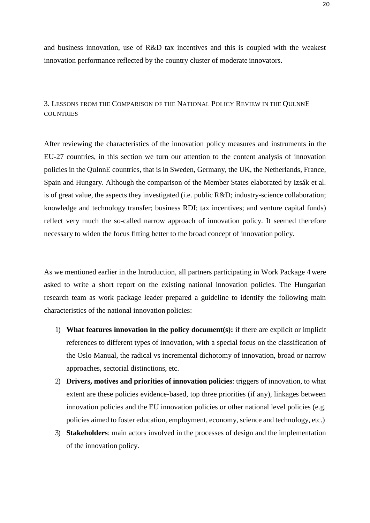and business innovation, use of R&D tax incentives and this is coupled with the weakest innovation performance reflected by the country cluster of moderate innovators.

<span id="page-20-0"></span>3. LESSONS FROM THE COMPARISON OF THE NATIONAL POLICY REVIEW IN THE QULNNE **COUNTRIES** 

After reviewing the characteristics of the innovation policy measures and instruments in the EU-27 countries, in this section we turn our attention to the content analysis of innovation policies in the QuInnE countries, that is in Sweden, Germany, the UK, the Netherlands, France, Spain and Hungary. Although the comparison of the Member States elaborated by Izsák et al. is of great value, the aspects they investigated (i.e. public R&D; industry-science collaboration; knowledge and technology transfer; business RDI; tax incentives; and venture capital funds) reflect very much the so-called narrow approach of innovation policy. It seemed therefore necessary to widen the focus fitting better to the broad concept of innovation policy.

As we mentioned earlier in the Introduction, all partners participating in Work Package 4 were asked to write a short report on the existing national innovation policies. The Hungarian research team as work package leader prepared a guideline to identify the following main characteristics of the national innovation policies:

- 1) **What features innovation in the policy document(s):** if there are explicit or implicit references to different types of innovation, with a special focus on the classification of the Oslo Manual, the radical vs incremental dichotomy of innovation, broad or narrow approaches, sectorial distinctions, etc.
- 2) **Drivers, motives and priorities of innovation policies**: triggers of innovation, to what extent are these policies evidence-based, top three priorities (if any), linkages between innovation policies and the EU innovation policies or other national level policies (e.g. policies aimed to foster education, employment, economy, science and technology, etc.)
- 3) **Stakeholders**: main actors involved in the processes of design and the implementation of the innovation policy.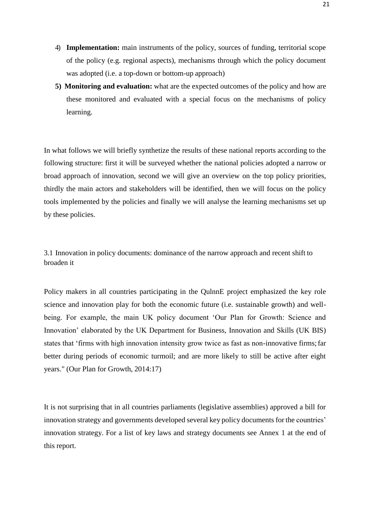- 4) **Implementation:** main instruments of the policy, sources of funding, territorial scope of the policy (e.g. regional aspects), mechanisms through which the policy document was adopted (i.e. a top-down or bottom-up approach)
- **5) Monitoring and evaluation:** what are the expected outcomes of the policy and how are these monitored and evaluated with a special focus on the mechanisms of policy learning.

In what follows we will briefly synthetize the results of these national reports according to the following structure: first it will be surveyed whether the national policies adopted a narrow or broad approach of innovation, second we will give an overview on the top policy priorities, thirdly the main actors and stakeholders will be identified, then we will focus on the policy tools implemented by the policies and finally we will analyse the learning mechanisms set up by these policies.

<span id="page-21-0"></span>3.1 Innovation in policy documents: dominance of the narrow approach and recent shift to broaden it

Policy makers in all countries participating in the QulnnE project emphasized the key role science and innovation play for both the economic future (i.e. sustainable growth) and wellbeing. For example, the main UK policy document 'Our Plan for Growth: Science and Innovation' elaborated by the UK Department for Business, Innovation and Skills (UK BIS) states that 'firms with high innovation intensity grow twice as fast as non-innovative firms; far better during periods of economic turmoil; and are more likely to still be active after eight years." (Our Plan for Growth, 2014:17)

It is not surprising that in all countries parliaments (legislative assemblies) approved a bill for innovation strategy and governments developed several key policy documents for the countries' innovation strategy. For a list of key laws and strategy documents see Annex 1 at the end of this report.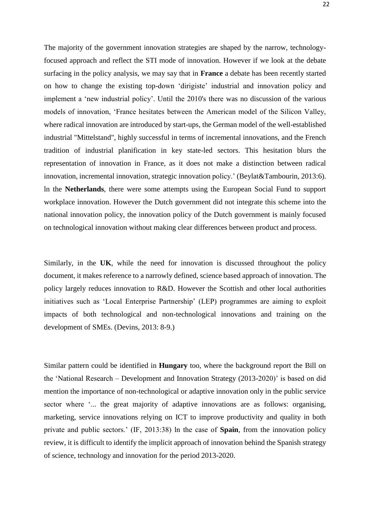The majority of the government innovation strategies are shaped by the narrow, technologyfocused approach and reflect the STI mode of innovation. However if we look at the debate surfacing in the policy analysis, we may say that in **France** a debate has been recently started on how to change the existing top-down 'dirigiste' industrial and innovation policy and implement a 'new industrial policy'. Until the 2010's there was no discussion of the various models of innovation, 'France hesitates between the American model of the Silicon Valley, where radical innovation are introduced by start-ups, the German model of the well-established industrial "Mittelstand", highly successful in terms of incremental innovations, and the French tradition of industrial planification in key state-led sectors. This hesitation blurs the representation of innovation in France, as it does not make a distinction between radical innovation, incremental innovation, strategic innovation policy.' (Beylat&Tambourin, 2013:6). ln the **Netherlands**, there were some attempts using the European Social Fund to support workplace innovation. However the Dutch government did not integrate this scheme into the national innovation policy, the innovation policy of the Dutch government is mainly focused on technological innovation without making clear differences between product and process.

Similarly, in the **UK**, while the need for innovation is discussed throughout the policy document, it makes reference to a narrowly defined, science based approach of innovation. The policy largely reduces innovation to R&D. However the Scottish and other local authorities initiatives such as 'Local Enterprise Partnership' (LEP) programmes are aiming to exploit impacts of both technological and non-technological innovations and training on the development of SMEs. (Devins, 2013: 8-9.)

Similar pattern could be identified in **Hungary** too, where the background report the Bill on the 'National Research – Development and Innovation Strategy (2013-2020)' is based on did mention the importance of non-technological or adaptive innovation only in the public service sector where '... the great majority of adaptive innovations are as follows: organising, marketing, service innovations relying on ICT to improve productivity and quality in both private and public sectors.' (IF, 2013:38) ln the case of **Spain**, from the innovation policy review, it is difficult to identify the implicit approach of innovation behind the Spanish strategy of science, technology and innovation for the period 2013-2020.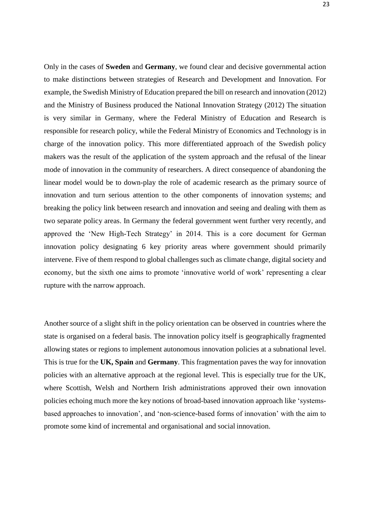Only in the cases of **Sweden** and **Germany**, we found clear and decisive governmental action to make distinctions between strategies of Research and Development and Innovation. For example, the Swedish Ministry of Education prepared the bill on research and innovation (2012) and the Ministry of Business produced the National Innovation Strategy (2012) The situation is very similar in Germany, where the Federal Ministry of Education and Research is responsible for research policy, while the Federal Ministry of Economics and Technology is in charge of the innovation policy. This more differentiated approach of the Swedish policy makers was the result of the application of the system approach and the refusal of the linear mode of innovation in the community of researchers. A direct consequence of abandoning the linear model would be to down-play the role of academic research as the primary source of innovation and turn serious attention to the other components of innovation systems; and breaking the policy link between research and innovation and seeing and dealing with them as two separate policy areas. In Germany the federal government went further very recently, and approved the 'New High-Tech Strategy' in 2014. This is a core document for German innovation policy designating 6 key priority areas where government should primarily intervene. Five of them respond to global challenges such as climate change, digital society and economy, but the sixth one aims to promote 'innovative world of work' representing a clear rupture with the narrow approach.

Another source of a slight shift in the policy orientation can be observed in countries where the state is organised on a federal basis. The innovation policy itself is geographically fragmented allowing states or regions to implement autonomous innovation policies at a subnational level. This is true for the **UK, Spain** and **Germany**. This fragmentation paves the way for innovation policies with an alternative approach at the regional level. This is especially true for the UK, where Scottish, Welsh and Northern Irish administrations approved their own innovation policies echoing much more the key notions of broad-based innovation approach like 'systemsbased approaches to innovation', and 'non-science-based forms of innovation' with the aim to promote some kind of incremental and organisational and social innovation.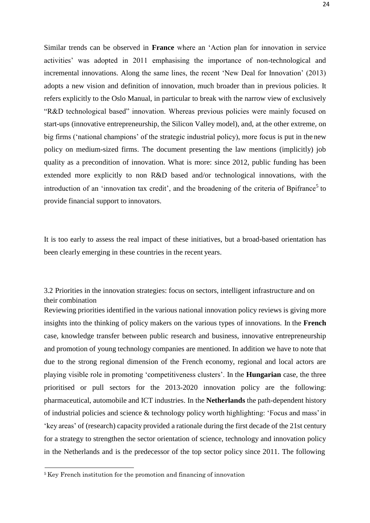Similar trends can be observed in **France** where an 'Action plan for innovation in service activities' was adopted in 2011 emphasising the importance of non-technological and incremental innovations. Along the same lines, the recent 'New Deal for Innovation' (2013) adopts a new vision and definition of innovation, much broader than in previous policies. It refers explicitly to the Oslo Manual, in particular to break with the narrow view of exclusively "R&D technological based" innovation. Whereas previous policies were mainly focused on start-ups (innovative entrepreneurship, the Silicon Valley model), and, at the other extreme, on big firms ('national champions' of the strategic industrial policy), more focus is put in the new policy on medium-sized firms. The document presenting the law mentions (implicitly) job quality as a precondition of innovation. What is more: since 2012, public funding has been extended more explicitly to non R&D based and/or technological innovations, with the introduction of an 'innovation tax credit', and the broadening of the criteria of Bpifrance<sup>[5](#page-24-1)</sup> to provide financial support to innovators.

It is too early to assess the real impact of these initiatives, but a broad-based orientation has been clearly emerging in these countries in the recent years.

<span id="page-24-0"></span>3.2 Priorities in the innovation strategies: focus on sectors, intelligent infrastructure and on their combination

Reviewing priorities identified in the various national innovation policy reviews is giving more insights into the thinking of policy makers on the various types of innovations. In the **French**  case, knowledge transfer between public research and business, innovative entrepreneurship and promotion of young technology companies are mentioned. In addition we have to note that due to the strong regional dimension of the French economy, regional and local actors are playing visible role in promoting 'competitiveness clusters'. In the **Hungarian** case, the three prioritised or pull sectors for the 2013-2020 innovation policy are the following: pharmaceutical, automobile and ICT industries. In the **Netherlands** the path-dependent history of industrial policies and science & technology policy worth highlighting: 'Focus and mass'in 'key areas' of (research) capacity provided a rationale during the first decade of the 21st century for a strategy to strengthen the sector orientation of science, technology and innovation policy in the Netherlands and is the predecessor of the top sector policy since 2011. The following

<span id="page-24-1"></span><sup>&</sup>lt;sup>5</sup>Key French institution for the promotion and financing of innovation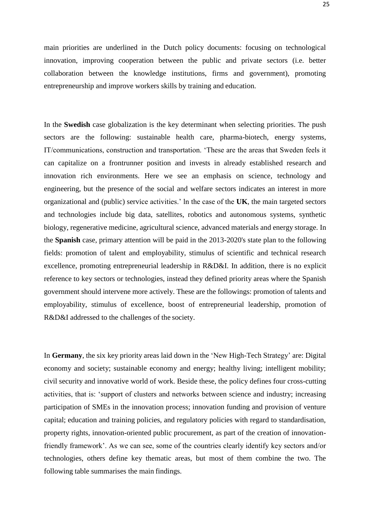main priorities are underlined in the Dutch policy documents: focusing on technological innovation, improving cooperation between the public and private sectors (i.e. better collaboration between the knowledge institutions, firms and government), promoting entrepreneurship and improve workers skills by training and education.

In the **Swedish** case globalization is the key determinant when selecting priorities. The push sectors are the following: sustainable health care, pharma-biotech, energy systems, IT/communications, construction and transportation. 'These are the areas that Sweden feels it can capitalize on a frontrunner position and invests in already established research and innovation rich environments. Here we see an emphasis on science, technology and engineering, but the presence of the social and welfare sectors indicates an interest in more organizational and (public) service activities.' ln the case of the **UK**, the main targeted sectors and technologies include big data, satellites, robotics and autonomous systems, synthetic biology, regenerative medicine, agricultural science, advanced materials and energy storage. In the **Spanish** case, primary attention will be paid in the 2013-2020's state plan to the following fields: promotion of talent and employability, stimulus of scientific and technical research excellence, promoting entrepreneurial leadership in R&D&I. In addition, there is no explicit reference to key sectors or technologies, instead they defined priority areas where the Spanish government should intervene more actively. These are the followings: promotion of talents and employability, stimulus of excellence, boost of entrepreneurial leadership, promotion of R&D&I addressed to the challenges of the society.

In **Germany**, the six key priority areas laid down in the 'New High-Tech Strategy' are: Digital economy and society; sustainable economy and energy; healthy living; intelligent mobility; civil security and innovative world of work. Beside these, the policy defines four cross-cutting activities, that is: 'support of clusters and networks between science and industry; increasing participation of SMEs in the innovation process; innovation funding and provision of venture capital; education and training policies, and regulatory policies with regard to standardisation, property rights, innovation-oriented public procurement, as part of the creation of innovationfriendly framework'. As we can see, some of the countries clearly identify key sectors and/or technologies, others define key thematic areas, but most of them combine the two. The following table summarises the main findings.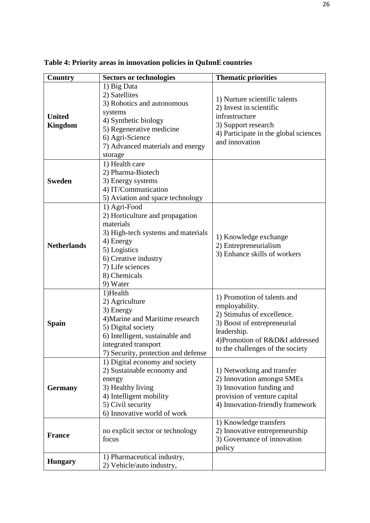| <b>Country</b>                  | <b>Sectors or technologies</b>                                                                                                                                                                          | <b>Thematic priorities</b>                                                                                                                                                                       |
|---------------------------------|---------------------------------------------------------------------------------------------------------------------------------------------------------------------------------------------------------|--------------------------------------------------------------------------------------------------------------------------------------------------------------------------------------------------|
| <b>United</b><br><b>Kingdom</b> | 1) Big Data<br>2) Satellites<br>3) Robotics and autonomous<br>systems<br>4) Synthetic biology<br>5) Regenerative medicine<br>6) Agri-Science<br>7) Advanced materials and energy<br>storage             | 1) Nurture scientific talents<br>2) Invest in scientific<br>infrastructure<br>3) Support research<br>4) Participate in the global sciences<br>and innovation                                     |
| <b>Sweden</b>                   | 1) Health care<br>2) Pharma-Biotech<br>3) Energy systems<br>4) IT/Communication<br>5) Aviation and space technology                                                                                     |                                                                                                                                                                                                  |
| <b>Netherlands</b>              | 1) Agri-Food<br>2) Horticulture and propagation<br>materials<br>3) High-tech systems and materials<br>4) Energy<br>5) Logistics<br>6) Creative industry<br>7) Life sciences<br>8) Chemicals<br>9) Water | 1) Knowledge exchange<br>2) Entrepreneurialism<br>3) Enhance skills of workers                                                                                                                   |
| Spain                           | 1)Health<br>2) Agriculture<br>3) Energy<br>4) Marine and Maritime research<br>5) Digital society<br>6) Intelligent, sustainable and<br>integrated transport<br>7) Security, protection and defense      | 1) Promotion of talents and<br>employability.<br>2) Stimulus of excellence.<br>3) Boost of entrepreneurial<br>leadership.<br>4) Promotion of R&D&I addressed<br>to the challenges of the society |
| <b>Germany</b>                  | 1) Digital economy and society<br>2) Sustainable economy and<br>energy<br>3) Healthy living<br>4) Intelligent mobility<br>5) Civil security<br>6) Innovative world of work                              | 1) Networking and transfer<br>2) Innovation amongst SMEs<br>3) Innovation funding and<br>provision of venture capital<br>4) Innovation-friendly framework                                        |
| <b>France</b>                   | no explicit sector or technology<br>focus                                                                                                                                                               | 1) Knowledge transfers<br>2) Innovative entrepreneurship<br>3) Governance of innovation<br>policy                                                                                                |
| <b>Hungary</b>                  | 1) Pharmaceutical industry,<br>2) Vehicle/auto industry,                                                                                                                                                |                                                                                                                                                                                                  |

**Table 4: Priority areas in innovation policies in QuInnE countries**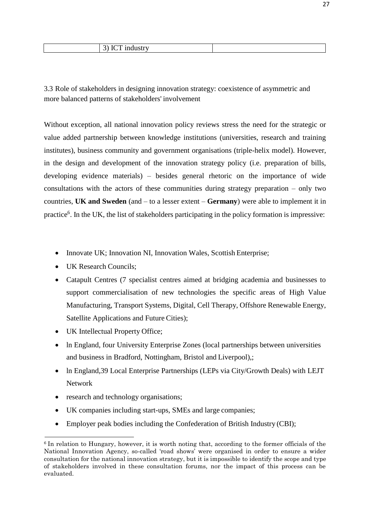<span id="page-27-0"></span>3.3 Role of stakeholders in designing innovation strategy: coexistence of asymmetric and more balanced patterns of stakeholders' involvement

Without exception, all national innovation policy reviews stress the need for the strategic or value added partnership between knowledge institutions (universities, research and training institutes), business community and government organisations (triple-helix model). However, in the design and development of the innovation strategy policy (i.e. preparation of bills, developing evidence materials) – besides general rhetoric on the importance of wide consultations with the actors of these communities during strategy preparation – only two countries, **UK and Sweden** (and – to a lesser extent – **Germany**) were able to implement it in practice<sup>[6](#page-27-1)</sup>. In the UK, the list of stakeholders participating in the policy formation is impressive:

- Innovate UK; Innovation NI, Innovation Wales, Scottish Enterprise;
- UK Research Councils;
- Catapult Centres (7 specialist centres aimed at bridging academia and businesses to support commercialisation of new technologies the specific areas of High Value Manufacturing, Transport Systems, Digital, Cell Therapy, Offshore Renewable Energy, Satellite Applications and Future Cities);
- UK Intellectual Property Office;
- ln England, four University Enterprise Zones (local partnerships between universities and business in Bradford, Nottingham, Bristol and Liverpool),;
- ln England,39 Local Enterprise Partnerships (LEPs via City/Growth Deals) with LEJT Network
- research and technology organisations;
- UK companies including start-ups, SMEs and large companies;
- Employer peak bodies including the Confederation of British Industry (CBI);

<span id="page-27-1"></span><sup>&</sup>lt;sup>6</sup> In relation to Hungary, however, it is worth noting that, according to the former officials of the National Innovation Agency, so-called 'road shows' were organised in order to ensure a wider consultation for the national innovation strategy, but it is impossible to identify the scope and type of stakeholders involved in these consultation forums, nor the impact of this process can be evaluated.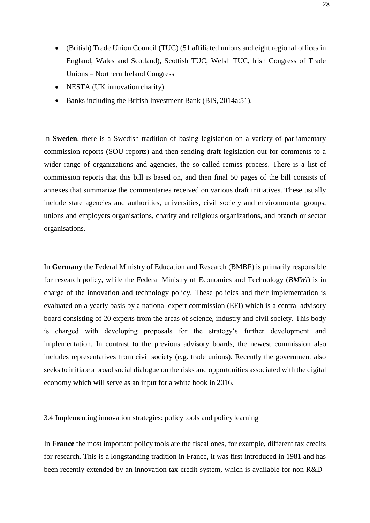- (British) Trade Union Council (TUC) (51 affiliated unions and eight regional offices in England, Wales and Scotland), Scottish TUC, Welsh TUC, lrish Congress of Trade Unions – Northern Ireland Congress
- NESTA (UK innovation charity)
- Banks including the British Investment Bank (BIS, 2014a:51).

ln **Sweden**, there is a Swedish tradition of basing legislation on a variety of parliamentary commission reports (SOU reports) and then sending draft legislation out for comments to a wider range of organizations and agencies, the so-called remiss process. There is a list of commission reports that this bill is based on, and then final 50 pages of the bill consists of annexes that summarize the commentaries received on various draft initiatives. These usually include state agencies and authorities, universities, civil society and environmental groups, unions and employers organisations, charity and religious organizations, and branch or sector organisations.

In **Germany** the Federal Ministry of Education and Research (BMBF) is primarily responsible for research policy, while the Federal Ministry of Economics and Technology (*BMWi*) is in charge of the innovation and technology policy. These policies and their implementation is evaluated on a yearly basis by a national expert commission (EFI) which is a central advisory board consisting of 20 experts from the areas of science, industry and civil society. This body is charged with developing proposals for the strategy's further development and implementation. In contrast to the previous advisory boards, the newest commission also includes representatives from civil society (e.g. trade unions). Recently the government also seeks to initiate a broad social dialogue on the risks and opportunities associated with the digital economy which will serve as an input for a white book in 2016.

<span id="page-28-0"></span>3.4 Implementing innovation strategies: policy tools and policy learning

In **France** the most important policy tools are the fiscal ones, for example, different tax credits for research. This is a longstanding tradition in France, it was first introduced in 1981 and has been recently extended by an innovation tax credit system, which is available for non R&D-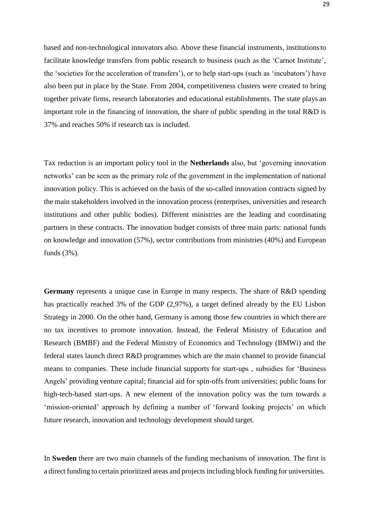based and non-technological innovators also. Above these financial instruments, institutionsto facilitate knowledge transfers from public research to business (such as the 'Carnot Institute', the 'societies for the acceleration of transfers'), or to help start-ups (such as 'incubators') have also been put in place by the State. From 2004, competitiveness clusters were created to bring together private firms, research laboratories and educational establishments. The state plays an important role in the financing of innovation, the share of public spending in the total R&D is 37% and reaches 50% if research tax is included.

Tax reduction is an important policy tool in the **Netherlands** also, but 'governing innovation networks' can be seen as the primary role of the government in the implementation of national innovation policy. This is achieved on the basis of the so-called innovation contracts signed by the main stakeholders involved in the innovation process (enterprises, universities and research institutions and other public bodies). Different ministries are the leading and coordinating partners in these contracts. The innovation budget consists of three main parts: national funds on knowledge and innovation (57%), sector contributions from ministries (40%) and European funds (3%).

**Germany** represents a unique case in Europe in many respects. The share of R&D spending has practically reached 3% of the GDP (2,97%), a target defined already by the EU Lisbon Strategy in 2000. On the other hand, Germany is among those few countries in which there are no tax incentives to promote innovation. Instead, the Federal Ministry of Education and Research (BMBF) and the Federal Ministry of Economics and Technology (BMWi) and the federal states launch direct R&D programmes which are the main channel to provide financial means to companies. These include financial supports for start-ups , subsidies for 'Business Angels' providing venture capital; financial aid for spin-offs from universities; public loans for high-tech-based start-ups. A new element of the innovation policy was the turn towards a 'mission-oriented' approach by defining a number of 'forward looking projects' on which future research, innovation and technology development should target.

In **Sweden** there are two main channels of the funding mechanisms of innovation. The first is a direct funding to certain prioritized areas and projects including block funding for universities.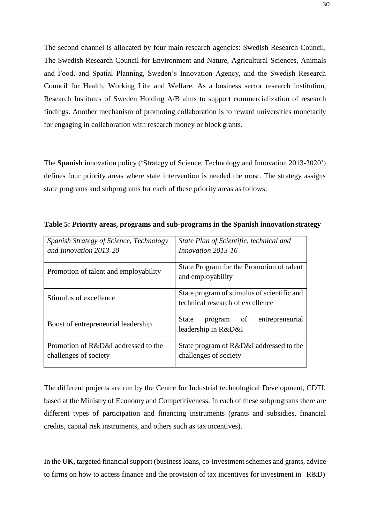The second channel is allocated by four main research agencies: Swedish Research Council, The Swedish Research Council for Environment and Nature, Agricultural Sciences, Animals and Food, and Spatial Planning, Sweden's Innovation Agency, and the Swedish Research Council for Health, Working Life and Welfare. As a business sector research institution, Research Institutes of Sweden Holding A/B aims to support commercialization of research findings. Another mechanism of promoting collaboration is to reward universities monetarily for engaging in collaboration with research money or block grants.

The **Spanish** innovation policy ('Strategy of Science, Technology and Innovation 2013-2020') defines four priority areas where state intervention is needed the most. The strategy assigns state programs and subprograms for each of these priority areas asfollows:

| Spanish Strategy of Science, Technology<br>and Innovation 2013-20 | State Plan of Scientific, technical and<br>Innovation 2013-16                   |
|-------------------------------------------------------------------|---------------------------------------------------------------------------------|
| Promotion of talent and employability                             | State Program for the Promotion of talent<br>and employability                  |
| Stimulus of excellence                                            | State program of stimulus of scientific and<br>technical research of excellence |
| Boost of entrepreneurial leadership                               | State<br>of<br>entrepreneurial<br>program<br>leadership in R&D&I                |
| Promotion of R&D&I addressed to the<br>challenges of society      | State program of R&D&I addressed to the<br>challenges of society                |

**Table 5: Priority areas, programs and sub-programs in the Spanish innovationstrategy**

The different projects are run by the Centre for Industrial technological Development, CDTI, based at the Ministry of Economy and Competitiveness. In each of these subprograms there are different types of participation and financing instruments (grants and subsidies, financial credits, capital risk instruments, and others such as tax incentives).

In the **UK**, targeted financial support (business loans, co-investment schemes and grants, advice to firms on how to access finance and the provision of tax incentives for investment in R&D)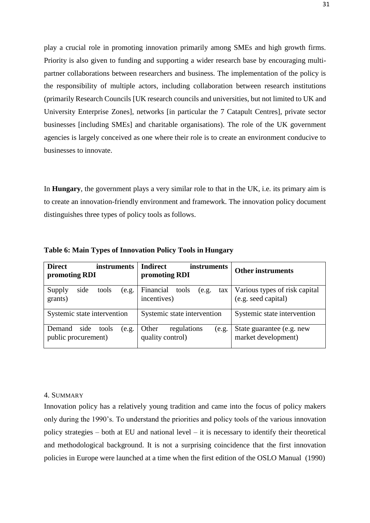play a crucial role in promoting innovation primarily among SMEs and high growth firms. Priority is also given to funding and supporting a wider research base by encouraging multipartner collaborations between researchers and business. The implementation of the policy is the responsibility of multiple actors, including collaboration between research institutions (primarily Research Councils [UK research councils and universities, but not limited to UK and University Enterprise Zones], networks [in particular the 7 Catapult Centres], private sector businesses [including SMEs] and charitable organisations). The role of the UK government agencies is largely conceived as one where their role is to create an environment conducive to businesses to innovate.

In **Hungary**, the government plays a very similar role to that in the UK, i.e. its primary aim is to create an innovation-friendly environment and framework. The innovation policy document distinguishes three types of policy tools as follows.

| <b>Direct</b><br><i>instruments</i><br>promoting RDI |       | <b>Indirect</b><br>instruments<br>promoting RDI   | <b>Other instruments</b>                             |
|------------------------------------------------------|-------|---------------------------------------------------|------------------------------------------------------|
| side<br>tools<br>Supply<br>grants)                   | (e.g. | Financial<br>tools<br>(e.g.<br>tax<br>incentives) | Various types of risk capital<br>(e.g. seed capital) |
| Systemic state intervention                          |       | Systemic state intervention                       | Systemic state intervention                          |
| side<br>Demand<br>tools<br>public procurement)       | (e.g. | regulations<br>Other<br>(e.g.<br>quality control) | State guarantee (e.g. new<br>market development)     |

**Table 6: Main Types of Innovation Policy Tools in Hungary**

## <span id="page-31-0"></span>4. SUMMARY

Innovation policy has a relatively young tradition and came into the focus of policy makers only during the 1990's. To understand the priorities and policy tools of the various innovation policy strategies – both at EU and national level – it is necessary to identify their theoretical and methodological background. It is not a surprising coincidence that the first innovation policies in Europe were launched at a time when the first edition of the OSLO Manual (1990)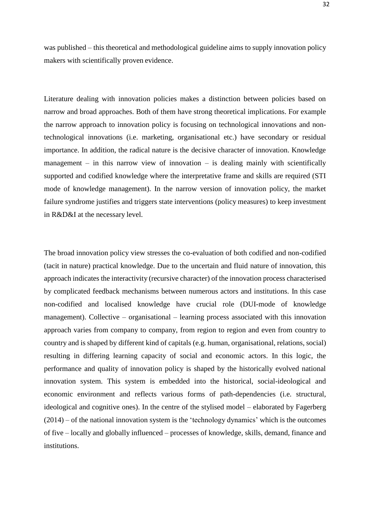was published – this theoretical and methodological guideline aims to supply innovation policy makers with scientifically proven evidence.

Literature dealing with innovation policies makes a distinction between policies based on narrow and broad approaches. Both of them have strong theoretical implications. For example the narrow approach to innovation policy is focusing on technological innovations and nontechnological innovations (i.e. marketing, organisational etc.) have secondary or residual importance. In addition, the radical nature is the decisive character of innovation. Knowledge management – in this narrow view of innovation – is dealing mainly with scientifically supported and codified knowledge where the interpretative frame and skills are required (STI mode of knowledge management). In the narrow version of innovation policy, the market failure syndrome justifies and triggers state interventions (policy measures) to keep investment in R&D&I at the necessary level.

The broad innovation policy view stresses the co-evaluation of both codified and non-codified (tacit in nature) practical knowledge. Due to the uncertain and fluid nature of innovation, this approach indicates the interactivity (recursive character) of the innovation process characterised by complicated feedback mechanisms between numerous actors and institutions. In this case non-codified and localised knowledge have crucial role (DUI-mode of knowledge management). Collective – organisational – learning process associated with this innovation approach varies from company to company, from region to region and even from country to country and is shaped by different kind of capitals (e.g. human, organisational, relations, social) resulting in differing learning capacity of social and economic actors. In this logic, the performance and quality of innovation policy is shaped by the historically evolved national innovation system. This system is embedded into the historical, social-ideological and economic environment and reflects various forms of path-dependencies (i.e. structural, ideological and cognitive ones). In the centre of the stylised model – elaborated by Fagerberg (2014) – of the national innovation system is the 'technology dynamics' which is the outcomes of five – locally and globally influenced – processes of knowledge, skills, demand, finance and institutions.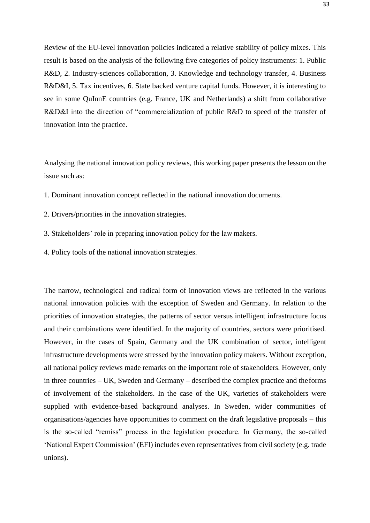Review of the EU-level innovation policies indicated a relative stability of policy mixes. This result is based on the analysis of the following five categories of policy instruments: 1. Public R&D, 2. Industry-sciences collaboration, 3. Knowledge and technology transfer, 4. Business R&D&I, 5. Tax incentives, 6. State backed venture capital funds. However, it is interesting to see in some QuInnE countries (e.g. France, UK and Netherlands) a shift from collaborative R&D&I into the direction of "commercialization of public R&D to speed of the transfer of innovation into the practice.

Analysing the national innovation policy reviews, this working paper presents the lesson on the issue such as:

- 1. Dominant innovation concept reflected in the national innovation documents.
- 2. Drivers/priorities in the innovation strategies.
- 3. Stakeholders' role in preparing innovation policy for the law makers.
- 4. Policy tools of the national innovation strategies.

The narrow, technological and radical form of innovation views are reflected in the various national innovation policies with the exception of Sweden and Germany. In relation to the priorities of innovation strategies, the patterns of sector versus intelligent infrastructure focus and their combinations were identified. In the majority of countries, sectors were prioritised. However, in the cases of Spain, Germany and the UK combination of sector, intelligent infrastructure developments were stressed by the innovation policy makers. Without exception, all national policy reviews made remarks on the important role of stakeholders. However, only in three countries – UK, Sweden and Germany – described the complex practice and theforms of involvement of the stakeholders. In the case of the UK, varieties of stakeholders were supplied with evidence-based background analyses. In Sweden, wider communities of organisations/agencies have opportunities to comment on the draft legislative proposals – this is the so-called "remiss" process in the legislation procedure. In Germany, the so-called 'National Expert Commission' (EFI) includes even representatives from civil society (e.g. trade unions).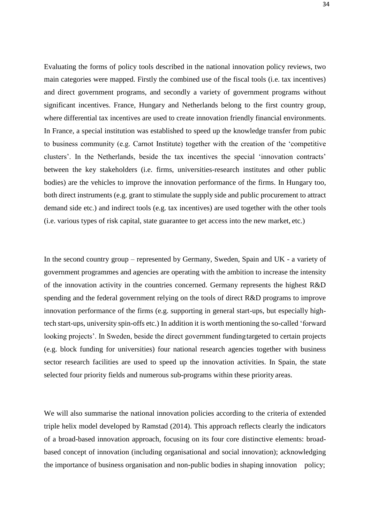Evaluating the forms of policy tools described in the national innovation policy reviews, two main categories were mapped. Firstly the combined use of the fiscal tools (i.e. tax incentives) and direct government programs, and secondly a variety of government programs without significant incentives. France, Hungary and Netherlands belong to the first country group, where differential tax incentives are used to create innovation friendly financial environments. In France, a special institution was established to speed up the knowledge transfer from pubic to business community (e.g. Carnot Institute) together with the creation of the 'competitive clusters'. In the Netherlands, beside the tax incentives the special 'innovation contracts' between the key stakeholders (i.e. firms, universities-research institutes and other public bodies) are the vehicles to improve the innovation performance of the firms. In Hungary too, both direct instruments (e.g. grant to stimulate the supply side and public procurement to attract demand side etc.) and indirect tools (e.g. tax incentives) are used together with the other tools (i.e. various types of risk capital, state guarantee to get access into the new market, etc.)

In the second country group – represented by Germany, Sweden, Spain and UK - a variety of government programmes and agencies are operating with the ambition to increase the intensity of the innovation activity in the countries concerned. Germany represents the highest R&D spending and the federal government relying on the tools of direct R&D programs to improve innovation performance of the firms (e.g. supporting in general start-ups, but especially hightech start-ups, university spin-offs etc.) In addition it is worth mentioning the so-called 'forward looking projects'. In Sweden, beside the direct government fundingtargeted to certain projects (e.g. block funding for universities) four national research agencies together with business sector research facilities are used to speed up the innovation activities. In Spain, the state selected four priority fields and numerous sub-programs within these priority areas.

We will also summarise the national innovation policies according to the criteria of extended triple helix model developed by Ramstad (2014). This approach reflects clearly the indicators of a broad-based innovation approach, focusing on its four core distinctive elements: broadbased concept of innovation (including organisational and social innovation); acknowledging the importance of business organisation and non-public bodies in shaping innovation policy;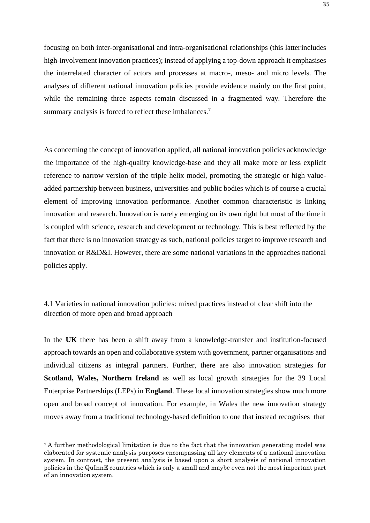focusing on both inter-organisational and intra-organisational relationships (this latterincludes high-involvement innovation practices); instead of applying a top-down approach it emphasises the interrelated character of actors and processes at macro-, meso- and micro levels. The analyses of different national innovation policies provide evidence mainly on the first point, while the remaining three aspects remain discussed in a fragmented way. Therefore the summary analysis is forced to reflect these imbalances.<sup>[7](#page-35-1)</sup>

As concerning the concept of innovation applied, all national innovation policies acknowledge the importance of the high-quality knowledge-base and they all make more or less explicit reference to narrow version of the triple helix model, promoting the strategic or high valueadded partnership between business, universities and public bodies which is of course a crucial element of improving innovation performance. Another common characteristic is linking innovation and research. Innovation is rarely emerging on its own right but most of the time it is coupled with science, research and development or technology. This is best reflected by the fact that there is no innovation strategy as such, national policies target to improve research and innovation or R&D&I. However, there are some national variations in the approaches national policies apply.

<span id="page-35-0"></span>4.1 Varieties in national innovation policies: mixed practices instead of clear shift into the direction of more open and broad approach

In the **UK** there has been a shift away from a knowledge-transfer and institution-focused approach towards an open and collaborative system with government, partner organisations and individual citizens as integral partners. Further, there are also innovation strategies for **Scotland, Wales, Northern Ireland** as well as local growth strategies for the 39 Local Enterprise Partnerships (LEPs) in **England**. These local innovation strategies show much more open and broad concept of innovation. For example, in Wales the new innovation strategy moves away from a traditional technology-based definition to one that instead recognises that

<span id="page-35-1"></span><sup>7</sup>A further methodological limitation is due to the fact that the innovation generating model was elaborated for systemic analysis purposes encompassing all key elements of a national innovation system. In contrast, the present analysis is based upon a short analysis of national innovation policies in the QuInnE countries which is only a small and maybe even not the most important part of an innovation system.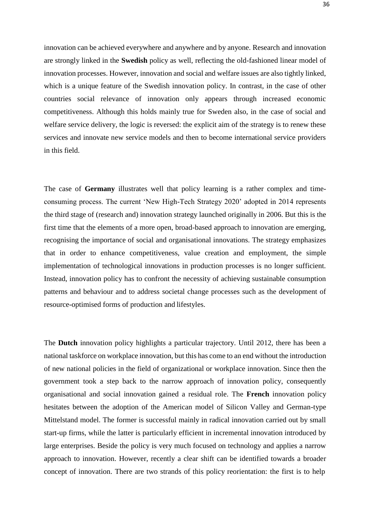innovation can be achieved everywhere and anywhere and by anyone. Research and innovation are strongly linked in the **Swedish** policy as well, reflecting the old-fashioned linear model of innovation processes. However, innovation and social and welfare issues are also tightly linked, which is a unique feature of the Swedish innovation policy. In contrast, in the case of other countries social relevance of innovation only appears through increased economic competitiveness. Although this holds mainly true for Sweden also, in the case of social and welfare service delivery, the logic is reversed: the explicit aim of the strategy is to renew these services and innovate new service models and then to become international service providers in this field.

The case of **Germany** illustrates well that policy learning is a rather complex and timeconsuming process. The current 'New High-Tech Strategy 2020' adopted in 2014 represents the third stage of (research and) innovation strategy launched originally in 2006. But this is the first time that the elements of a more open, broad-based approach to innovation are emerging, recognising the importance of social and organisational innovations. The strategy emphasizes that in order to enhance competitiveness, value creation and employment, the simple implementation of technological innovations in production processes is no longer sufficient. Instead, innovation policy has to confront the necessity of achieving sustainable consumption patterns and behaviour and to address societal change processes such as the development of resource-optimised forms of production and lifestyles.

The **Dutch** innovation policy highlights a particular trajectory. Until 2012, there has been a national taskforce on workplace innovation, but this has come to an end without the introduction of new national policies in the field of organizational or workplace innovation. Since then the government took a step back to the narrow approach of innovation policy, consequently organisational and social innovation gained a residual role. The **French** innovation policy hesitates between the adoption of the American model of Silicon Valley and German-type Mittelstand model. The former is successful mainly in radical innovation carried out by small start-up firms, while the latter is particularly efficient in incremental innovation introduced by large enterprises. Beside the policy is very much focused on technology and applies a narrow approach to innovation. However, recently a clear shift can be identified towards a broader concept of innovation. There are two strands of this policy reorientation: the first is to help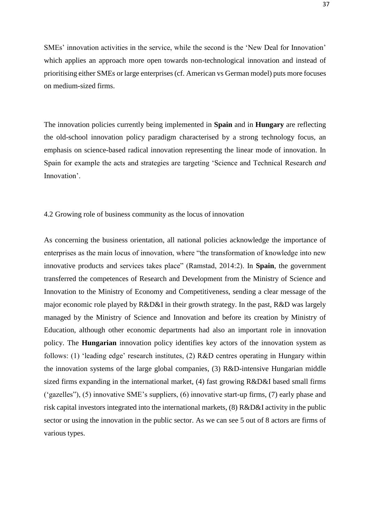SMEs' innovation activities in the service, while the second is the 'New Deal for Innovation' which applies an approach more open towards non-technological innovation and instead of prioritising either SMEs or large enterprises(cf. American vs German model) puts more focuses on medium-sized firms.

The innovation policies currently being implemented in **Spain** and in **Hungary** are reflecting the old-school innovation policy paradigm characterised by a strong technology focus, an emphasis on science-based radical innovation representing the linear mode of innovation. In Spain for example the acts and strategies are targeting 'Science and Technical Research *and*  Innovation'.

#### <span id="page-37-0"></span>4.2 Growing role of business community as the locus of innovation

As concerning the business orientation, all national policies acknowledge the importance of enterprises as the main locus of innovation, where "the transformation of knowledge into new innovative products and services takes place" (Ramstad, 2014:2). In **Spain**, the government transferred the competences of Research and Development from the Ministry of Science and Innovation to the Ministry of Economy and Competitiveness, sending a clear message of the major economic role played by R&D&I in their growth strategy. In the past, R&D was largely managed by the Ministry of Science and Innovation and before its creation by Ministry of Education, although other economic departments had also an important role in innovation policy. The **Hungarian** innovation policy identifies key actors of the innovation system as follows: (1) 'leading edge' research institutes, (2) R&D centres operating in Hungary within the innovation systems of the large global companies, (3) R&D-intensive Hungarian middle sized firms expanding in the international market, (4) fast growing R&D&I based small firms ('gazelles"), (5) innovative SME's suppliers, (6) innovative start-up firms, (7) early phase and risk capital investors integrated into the international markets, (8) R&D&I activity in the public sector or using the innovation in the public sector. As we can see 5 out of 8 actors are firms of various types.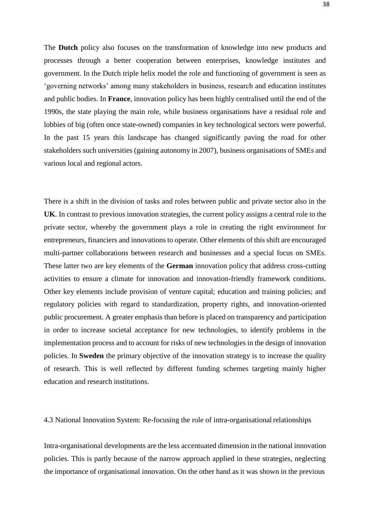The **Dutch** policy also focuses on the transformation of knowledge into new products and processes through a better cooperation between enterprises, knowledge institutes and government. In the Dutch triple helix model the role and functioning of government is seen as 'governing networks' among many stakeholders in business, research and education institutes and public bodies. In **France**, innovation policy has been highly centralised until the end of the 1990s, the state playing the main role, while business organisations have a residual role and lobbies of big (often once state-owned) companies in key technological sectors were powerful. In the past 15 years this landscape has changed significantly paving the road for other stakeholders such universities (gaining autonomy in 2007), business organisations of SMEs and various local and regional actors.

There is a shift in the division of tasks and roles between public and private sector also in the **UK**. In contrast to previous innovation strategies, the current policy assigns a central role to the private sector, whereby the government plays a role in creating the right environment for entrepreneurs, financiers and innovations to operate. Other elements of this shift are encouraged multi-partner collaborations between research and businesses and a special focus on SMEs. These latter two are key elements of the **German** innovation policy that address cross-cutting activities to ensure a climate for innovation and innovation-friendly framework conditions. Other key elements include provision of venture capital; education and training policies; and regulatory policies with regard to standardization, property rights, and innovation-oriented public procurement. A greater emphasis than before is placed on transparency and participation in order to increase societal acceptance for new technologies, to identify problems in the implementation process and to account for risks of new technologies in the design of innovation policies. In **Sweden** the primary objective of the innovation strategy is to increase the quality of research. This is well reflected by different funding schemes targeting mainly higher education and research institutions.

#### <span id="page-38-0"></span>4.3 National Innovation System: Re-focusing the role of intra-organisational relationships

Intra-organisational developments are the less accentuated dimension in the national innovation policies. This is partly because of the narrow approach applied in these strategies, neglecting the importance of organisational innovation. On the other hand as it was shown in the previous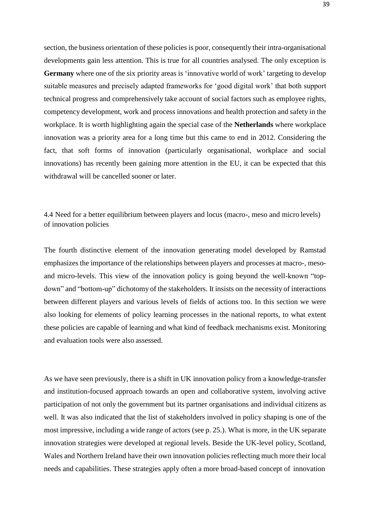section, the business orientation of these policies is poor, consequently their intra-organisational developments gain less attention. This is true for all countries analysed. The only exception is **Germany** where one of the six priority areas is 'innovative world of work' targeting to develop suitable measures and precisely adapted frameworks for 'good digital work' that both support technical progress and comprehensively take account of social factors such as employee rights, competency development, work and process innovations and health protection and safety in the workplace. It is worth highlighting again the special case of the **Netherlands** where workplace innovation was a priority area for a long time but this came to end in 2012. Considering the fact, that soft forms of innovation (particularly organisational, workplace and social innovations) has recently been gaining more attention in the EU, it can be expected that this withdrawal will be cancelled sooner or later.

# <span id="page-39-0"></span>4.4 Need for a better equilibrium between players and locus (macro-, meso and micro levels) of innovation policies

The fourth distinctive element of the innovation generating model developed by Ramstad emphasizes the importance of the relationships between players and processes at macro-, mesoand micro-levels. This view of the innovation policy is going beyond the well-known "topdown" and "bottom-up" dichotomy of the stakeholders. It insists on the necessity of interactions between different players and various levels of fields of actions too. In this section we were also looking for elements of policy learning processes in the national reports, to what extent these policies are capable of learning and what kind of feedback mechanisms exist. Monitoring and evaluation tools were also assessed.

As we have seen previously, there is a shift in UK innovation policy from a knowledge-transfer and institution-focused approach towards an open and collaborative system, involving active participation of not only the government but its partner organisations and individual citizens as well. It was also indicated that the list of stakeholders involved in policy shaping is one of the most impressive, including a wide range of actors (see p. 25.). What is more, in the UK separate innovation strategies were developed at regional levels. Beside the UK-level policy, Scotland, Wales and Northern Ireland have their own innovation policies reflecting much more their local needs and capabilities. These strategies apply often a more broad-based concept of innovation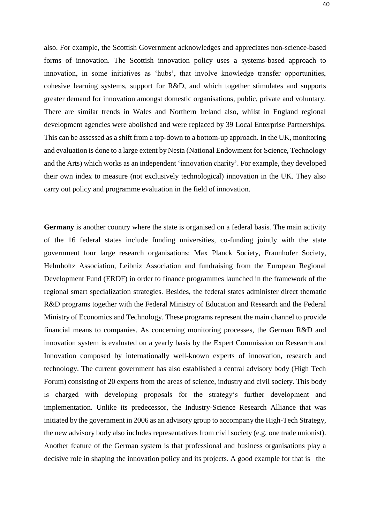also. For example, the Scottish Government acknowledges and appreciates non-science-based forms of innovation. The Scottish innovation policy uses a systems-based approach to innovation, in some initiatives as 'hubs', that involve knowledge transfer opportunities, cohesive learning systems, support for R&D, and which together stimulates and supports greater demand for innovation amongst domestic organisations, public, private and voluntary. There are similar trends in Wales and Northern Ireland also, whilst in England regional development agencies were abolished and were replaced by 39 Local Enterprise Partnerships. This can be assessed as a shift from a top-down to a bottom-up approach. In the UK, monitoring and evaluation is done to a large extent by Nesta (National Endowment for Science, Technology and the Arts) which works as an independent 'innovation charity'. For example, they developed their own index to measure (not exclusively technological) innovation in the UK. They also carry out policy and programme evaluation in the field of innovation.

**Germany** is another country where the state is organised on a federal basis. The main activity of the 16 federal states include funding universities, co-funding jointly with the state government four large research organisations: Max Planck Society, Fraunhofer Society, Helmholtz Association, Leibniz Association and fundraising from the European Regional Development Fund (ERDF) in order to finance programmes launched in the framework of the regional smart specialization strategies. Besides, the federal states administer direct thematic R&D programs together with the Federal Ministry of Education and Research and the Federal Ministry of Economics and Technology. These programs represent the main channel to provide financial means to companies. As concerning monitoring processes, the German R&D and innovation system is evaluated on a yearly basis by the Expert Commission on Research and Innovation composed by internationally well-known experts of innovation, research and technology. The current government has also established a central advisory body (High Tech Forum) consisting of 20 experts from the areas of science, industry and civil society. This body is charged with developing proposals for the strategy's further development and implementation. Unlike its predecessor, the Industry-Science Research Alliance that was initiated by the government in 2006 as an advisory group to accompany the High-Tech Strategy, the new advisory body also includes representatives from civil society (e.g. one trade unionist). Another feature of the German system is that professional and business organisations play a decisive role in shaping the innovation policy and its projects. A good example for that is the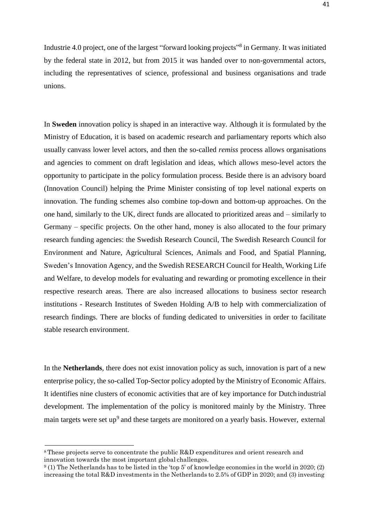Industrie 4.0 project, one of the largest "forward looking projects"<sup>[8](#page-41-0)</sup> in Germany. It was initiated by the federal state in 2012, but from 2015 it was handed over to non-governmental actors, including the representatives of science, professional and business organisations and trade unions.

In **Sweden** innovation policy is shaped in an interactive way. Although it is formulated by the Ministry of Education, it is based on academic research and parliamentary reports which also usually canvass lower level actors, and then the so-called *remiss* process allows organisations and agencies to comment on draft legislation and ideas, which allows meso-level actors the opportunity to participate in the policy formulation process. Beside there is an advisory board (Innovation Council) helping the Prime Minister consisting of top level national experts on innovation. The funding schemes also combine top-down and bottom-up approaches. On the one hand, similarly to the UK, direct funds are allocated to prioritized areas and – similarly to Germany – specific projects. On the other hand, money is also allocated to the four primary research funding agencies: the Swedish Research Council, The Swedish Research Council for Environment and Nature, Agricultural Sciences, Animals and Food, and Spatial Planning, Sweden's Innovation Agency, and the Swedish RESEARCH Council for Health, Working Life and Welfare, to develop models for evaluating and rewarding or promoting excellence in their respective research areas. There are also increased allocations to business sector research institutions - Research Institutes of Sweden Holding A/B to help with commercialization of research findings. There are blocks of funding dedicated to universities in order to facilitate stable research environment.

In the **Netherlands**, there does not exist innovation policy as such, innovation is part of a new enterprise policy, the so-called Top-Sector policy adopted by the Ministry of Economic Affairs. It identifies nine clusters of economic activities that are of key importance for Dutch industrial development. The implementation of the policy is monitored mainly by the Ministry. Three main targets were set up<sup>[9](#page-41-1)</sup> and these targets are monitored on a yearly basis. However, external

<span id="page-41-0"></span><sup>8</sup>These projects serve to concentrate the public R&D expenditures and orient research and innovation towards the most important global challenges.

<span id="page-41-1"></span> $9(1)$  The Netherlands has to be listed in the 'top 5' of knowledge economies in the world in 2020; (2) increasing the total R&D investments in the Netherlands to 2.5% of GDP in 2020; and (3) investing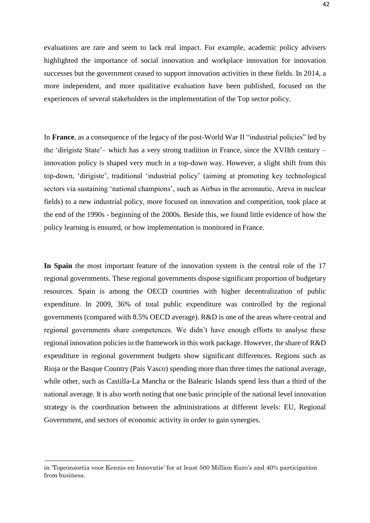evaluations are rare and seem to lack real impact. For example, academic policy advisers highlighted the importance of social innovation and workplace innovation for innovation successes but the government ceased to support innovation activities in these fields. In 2014, a more independent, and more qualitative evaluation have been published, focused on the experiences of several stakeholders in the implementation of the Top sector policy.

In **France**, as a consequence of the legacy of the post-World War II "industrial policies" led by the 'dirigiste State'– which has a very strong tradition in France, since the XVIIth century – innovation policy is shaped very much in a top-down way. However, a slight shift from this top-down, 'dirigiste', traditional 'industrial policy' (aiming at promoting key technological sectors via sustaining 'national champions', such as Airbus in the aeronautic, Areva in nuclear fields) to a new industrial policy, more focused on innovation and competition, took place at the end of the 1990s - beginning of the 2000s. Beside this, we found little evidence of how the policy learning is ensured, or how implementation is monitored in France.

**In Spain** the most important feature of the innovation system is the central role of the 17 regional governments. These regional governments dispose significant proportion of budgetary resources. Spain is among the OECD countries with higher decentralization of public expenditure. In 2009, 36% of total public expenditure was controlled by the regional governments (compared with 8.5% OECD average). R&D is one of the areas where central and regional governments share competences. We didn't have enough efforts to analyse these regional innovation policies in the framework in this work package. However, the share of R&D expenditure in regional government budgets show significant differences. Regions such as Rioja or the Basque Country (País Vasco) spending more than three times the national average, while other, such as Castilla-La Mancha or the Balearic Islands spend less than a third of the national average. It is also worth noting that one basic principle of the national level innovation strategy is the coordination between the administrations at different levels: EU, Regional Government, and sectors of economic activity in order to gain synergies.

in 'Topconsortia voor Kennis en Innovatie' for at least 500 Million Euro's and 40% participation from business.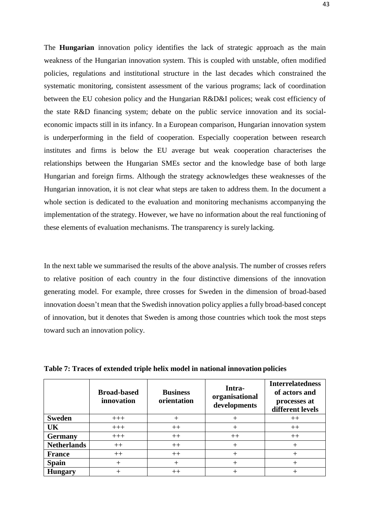The **Hungarian** innovation policy identifies the lack of strategic approach as the main weakness of the Hungarian innovation system. This is coupled with unstable, often modified policies, regulations and institutional structure in the last decades which constrained the systematic monitoring, consistent assessment of the various programs; lack of coordination between the EU cohesion policy and the Hungarian R&D&I polices; weak cost efficiency of the state R&D financing system; debate on the public service innovation and its socialeconomic impacts still in its infancy. In a European comparison, Hungarian innovation system is underperforming in the field of cooperation. Especially cooperation between research institutes and firms is below the EU average but weak cooperation characterises the relationships between the Hungarian SMEs sector and the knowledge base of both large Hungarian and foreign firms. Although the strategy acknowledges these weaknesses of the Hungarian innovation, it is not clear what steps are taken to address them. In the document a whole section is dedicated to the evaluation and monitoring mechanisms accompanying the implementation of the strategy. However, we have no information about the real functioning of these elements of evaluation mechanisms. The transparency is surely lacking.

In the next table we summarised the results of the above analysis. The number of crosses refers to relative position of each country in the four distinctive dimensions of the innovation generating model. For example, three crosses for Sweden in the dimension of broad-based innovation doesn't mean that the Swedish innovation policy applies a fully broad-based concept of innovation, but it denotes that Sweden is among those countries which took the most steps toward such an innovation policy.

|                    | <b>Broad-based</b><br>innovation | <b>Business</b><br>orientation | Intra-<br>organisational<br>developments | <b>Interrelatedness</b><br>of actors and<br>processes at<br>different levels |
|--------------------|----------------------------------|--------------------------------|------------------------------------------|------------------------------------------------------------------------------|
| <b>Sweden</b>      | $+++$                            |                                |                                          | $^{++}$                                                                      |
| UK                 | $+++$                            | $++$                           |                                          | $++$                                                                         |
| <b>Germany</b>     | $+++$                            | $++$                           | $++$                                     | $^{++}$                                                                      |
| <b>Netherlands</b> | $++$                             | $++$                           |                                          |                                                                              |
| <b>France</b>      | $++$                             | $++$                           |                                          |                                                                              |
| <b>Spain</b>       |                                  |                                |                                          |                                                                              |
| <b>Hungary</b>     |                                  | $^{++}$                        |                                          |                                                                              |

**Table 7: Traces of extended triple helix model in national innovation policies**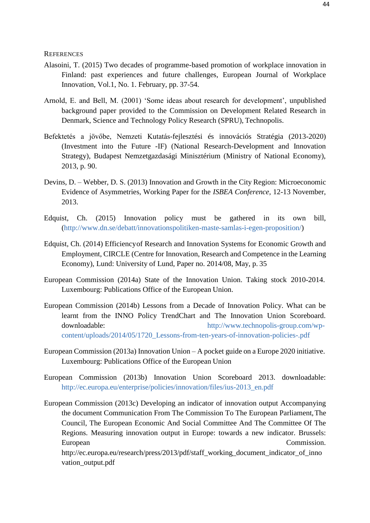<span id="page-44-0"></span>**REFERENCES** 

- Alasoini, T. (2015) Two decades of programme-based promotion of workplace innovation in Finland: past experiences and future challenges, European Journal of Workplace Innovation, Vol.1, No. 1. February, pp. 37-54.
- Arnold, E. and Bell, M. (2001) 'Some ideas about research for development', unpublished background paper provided to the Commission on Development Related Research in Denmark, Science and Technology Policy Research (SPRU), Technopolis.
- Befektetés a jövőbe, Nemzeti Kutatás-fejlesztési és innovációs Stratégia (2013-2020) (Investment into the Future -IF) (National Research-Development and Innovation Strategy), Budapest Nemzetgazdasági Minisztérium (Ministry of National Economy), 2013, p. 90.
- Devins, D. Webber, D. S. (2013) Innovation and Growth in the City Region: Microeconomic Evidence of Asymmetries, Working Paper for the *ISBEA Conference,* 12-13 November, 2013.
- Edquist, Ch. (2015) Innovation policy must be gathered in its own bill, [\(http://www.dn.se/debatt/innovationspolitiken-maste-samlas-i-egen-proposition/\)](http://www.dn.se/debatt/innovationspolitiken-maste-samlas-i-egen-proposition/)
- Edquist, Ch. (2014) Efficiencyof Research and Innovation Systems for Economic Growth and Employment, CIRCLE (Centre for Innovation, Research and Competence in the Learning Economy), Lund: University of Lund, Paper no. 2014/08, May, p. 35
- European Commission (2014a) State of the Innovation Union. Taking stock 2010-2014. Luxembourg: Publications Office of the European Union.
- European Commission (2014b) Lessons from a Decade of Innovation Policy. What can be learnt from the INNO Policy TrendChart and The Innovation Union Scoreboard. downloadable: [http://www.technopolis-group.com/wp](http://www.technopolis-group.com/wp-content/uploads/2014/05/1720_Lessons-from-ten-years-of-innovation-policies-.pdf)[content/uploads/2014/05/1720\\_Lessons-from-ten-years-of-innovation-policies-.pdf](http://www.technopolis-group.com/wp-content/uploads/2014/05/1720_Lessons-from-ten-years-of-innovation-policies-.pdf)
- European Commission (2013a) Innovation Union A pocket guide on a Europe 2020 initiative. Luxembourg: Publications Office of the European Union
- European Commission (2013b) Innovation Union Scoreboard 2013. downloadable: [http://ec.europa.eu/enterprise/policies/innovation/files/ius-2013\\_en.pdf](http://ec.europa.eu/enterprise/policies/innovation/files/ius-2013_en.pdf)
- European Commission (2013c) Developing an indicator of innovation output Accompanying the document Communication From The Commission To The European Parliament,The Council, The European Economic And Social Committee And The Committee Of The Regions. Measuring innovation output in Europe: towards a new indicator. Brussels: European Commission. [http://ec.europa.eu/research/press/2013/pdf/staff\\_working\\_document\\_indicator\\_of\\_inno](http://ec.europa.eu/research/press/2013/pdf/staff_working_document_indicator_of_inno)

vation\_output.pdf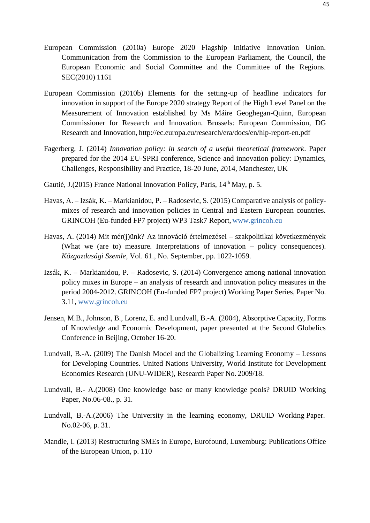- European Commission (2010a) Europe 2020 Flagship Initiative Innovation Union. Communication from the Commission to the European Parliament, the Council, the European Economic and Social Committee and the Committee of the Regions. SEC(2010) 1161
- European Commission (2010b) Elements for the setting-up of headline indicators for innovation in support of the Europe 2020 strategy Report of the High Level Panel on the Measurement of Innovation established by Ms Máire Geoghegan-Quinn, European Commissioner for Research and Innovation. Brussels: European Commission, DG Research and Innovation, <http://ec.europa.eu/research/era/docs/en/hlp-report-en.pdf>
- Fagerberg, J. (2014) *Innovation policy: in search of a useful theoretical framework*. Paper prepared for the 2014 EU-SPRI conference, Science and innovation policy: Dynamics, Challenges, Responsibility and Practice, 18-20 June, 2014, Manchester, UK
- Gautié, J. (2015) France National Innovation Policy, Paris, 14<sup>th</sup> May, p. 5.
- Havas, A. Izsák, K. Markianidou, P. Radosevic, S. (2015) Comparative analysis of policymixes of research and innovation policies in Central and Eastern European countries. GRINCOH (Eu-funded FP7 project) WP3 Task7 Report, [www.grincoh.eu](http://www.grincoh.eu/)
- Havas, A. (2014) Mit mér(j)ünk? Az innováció értelmezései szakpolitikai következmények (What we (are to) measure. Interpretations of innovation – policy consequences). *Közgazdasági Szemle*, Vol. 61., No. September, pp. 1022-1059.
- Izsák, K. Markianidou, P. Radosevic, S. (2014) Convergence among national innovation policy mixes in Europe – an analysis of research and innovation policy measures in the period 2004-2012. GRINCOH (Eu-funded FP7 project) Working Paper Series, Paper No. 3.11, [www.grincoh.eu](http://www.grincoh.eu/)
- Jensen, M.B., Johnson, B., Lorenz, E. and Lundvall, B.-A. (2004), Absorptive Capacity, Forms of Knowledge and Economic Development, paper presented at the Second Globelics Conference in Beijing, October 16-20.
- Lundvall, B.-A. (2009) The Danish Model and the Globalizing Learning Economy Lessons for Developing Countries. United Nations University, World Institute for Development Economics Research (UNU-WIDER), Research Paper No. 2009/18.
- Lundvall, B.- A.(2008) One knowledge base or many knowledge pools? DRUID Working Paper, No.06-08., p. 31.
- Lundvall, B.-A.(2006) The University in the learning economy, DRUID Working Paper. No.02-06, p. 31.
- Mandle, I. (2013) Restructuring SMEs in Europe, Eurofound, Luxemburg: Publications Office of the European Union, p. 110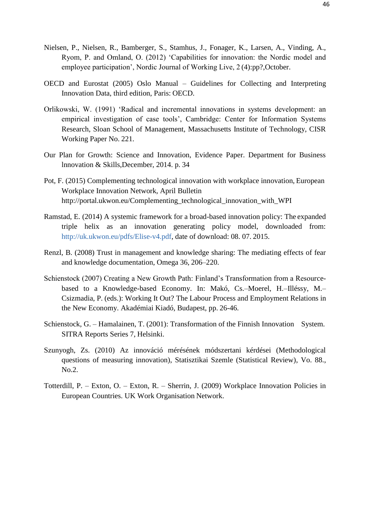- Nielsen, P., Nielsen, R., Bamberger, S., Stamhus, J., Fonager, K., Larsen, A., Vinding, A., Ryom, P. and Omland, O. (2012) 'Capabilities for innovation: the Nordic model and employee participation', Nordic Journal of Working Live, 2 (4):pp?,October.
- OECD and Eurostat (2005) Oslo Manual Guidelines for Collecting and Interpreting Innovation Data, third edition, Paris: OECD.
- Orlikowski, W. (1991) 'Radical and incremental innovations in systems development: an empirical investigation of case tools', Cambridge: Center for Information Systems Research, Sloan School of Management, Massachusetts Institute of Technology, CISR Working Paper No. 221.
- Our Plan for Growth: Science and Innovation, Evidence Paper. Department for Business lnnovation & Skills,December, 2014. p. 34
- Pot, F. (2015) Complementing technological innovation with workplace innovation, European Workplace Innovation Network, April Bulletin [http://portal.ukwon.eu/Complementing\\_technological\\_innovation\\_with\\_WPI](http://portal.ukwon.eu/Complementing_technological_innovation_with_WPI)
- Ramstad, E. (2014) A systemic framework for a broad-based innovation policy: The expanded triple helix as an innovation generating policy model, downloaded from: [http://uk.ukwon.eu/pdfs/Elise-v4.pdf,](http://uk.ukwon.eu/pdfs/Elise-v4.pdf) date of download: 08. 07. 2015.
- Renzl, B. (2008) Trust in management and knowledge sharing: The mediating effects of fear and knowledge documentation, Omega 36, 206–220.
- Schienstock (2007) Creating a New Growth Path: Finland's Transformation from a Resourcebased to a Knowledge-based Economy. In: Makó, Cs.–Moerel, H.–Illéssy, M.– Csizmadia, P. (eds.): Working It Out? The Labour Process and Employment Relations in the New Economy. Akadémiai Kiadó, Budapest, pp. 26-46.
- Schienstock, G. Hamalainen, T. (2001): Transformation of the Finnish Innovation System. SITRA Reports Series 7, Helsinki.
- Szunyogh, Zs. (2010) Az innováció mérésének módszertani kérdései (Methodological questions of measuring innovation), Statisztikai Szemle (Statistical Review), Vo. 88., No.2.
- Totterdill, P. Exton, O. Exton, R. Sherrin, J. (2009) Workplace Innovation Policies in European Countries. UK Work Organisation Network.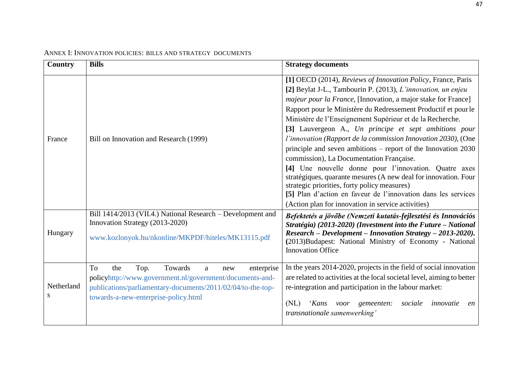<span id="page-47-0"></span>

| Country          | <b>Bills</b>                                                                                                                                                                                                              | <b>Strategy documents</b>                                                                                                                                                                                                                                                                                                                                                                                                                                                                                                                                                                                                                                                                                                                                                                                                                                                |
|------------------|---------------------------------------------------------------------------------------------------------------------------------------------------------------------------------------------------------------------------|--------------------------------------------------------------------------------------------------------------------------------------------------------------------------------------------------------------------------------------------------------------------------------------------------------------------------------------------------------------------------------------------------------------------------------------------------------------------------------------------------------------------------------------------------------------------------------------------------------------------------------------------------------------------------------------------------------------------------------------------------------------------------------------------------------------------------------------------------------------------------|
| France           | Bill on Innovation and Research (1999)                                                                                                                                                                                    | [1] OECD (2014), Reviews of Innovation Policy, France, Paris<br>[2] Beylat J-L., Tambourin P. (2013), L'innovation, un enjeu<br>majeur pour la France, [Innovation, a major stake for France]<br>Rapport pour le Ministère du Redressement Productif et pour le<br>Ministère de l'Enseignement Supérieur et de la Recherche.<br>[3] Lauvergeon A., Un principe et sept ambitions pour<br>l'innovation (Rapport de la commission Innovation 2030), (One<br>principle and seven ambitions $-$ report of the Innovation 2030<br>commission), La Documentation Française.<br>[4] Une nouvelle donne pour l'innovation. Quatre axes<br>stratégiques, quarante mesures (A new deal for innovation. Four<br>strategic priorities, forty policy measures)<br>[5] Plan d'action en faveur de l'innovation dans les services<br>(Action plan for innovation in service activities) |
| Hungary          | Bill 1414/2013 (VII.4.) National Research – Development and<br>Innovation Strategy (2013-2020)<br>www.kozlonyok.hu/nkonline/MKPDF/hiteles/MK13115.pdf                                                                     | Befektetés a jövőbe (Nemzeti kutatás-fejlesztési és Innovációs<br>Stratégia) (2013-2020) (Investment into the Future - National<br>Research - Development - Innovation Strategy - 2013-2020).<br>(2013)Budapest: National Ministry of Economy - National<br><b>Innovation Office</b>                                                                                                                                                                                                                                                                                                                                                                                                                                                                                                                                                                                     |
| Netherland<br>S. | To<br>Towards<br>the<br>Top.<br>enterprise<br>a<br>new<br>policyhttp://www.government.nl/government/documents-and-<br>publications/parliamentary-documents/2011/02/04/to-the-top-<br>towards-a-new-enterprise-policy.html | In the years 2014-2020, projects in the field of social innovation<br>are related to activities at the local societal level, aiming to better<br>re-integration and participation in the labour market:<br>(NL)<br><i>'Kans</i><br>voor gemeenten:<br>sociale<br>innovatie<br>en<br>transnationale samenwerking'                                                                                                                                                                                                                                                                                                                                                                                                                                                                                                                                                         |

## ANNEX I: INNOVATION POLICIES: BILLS AND STRATEGY DOCUMENTS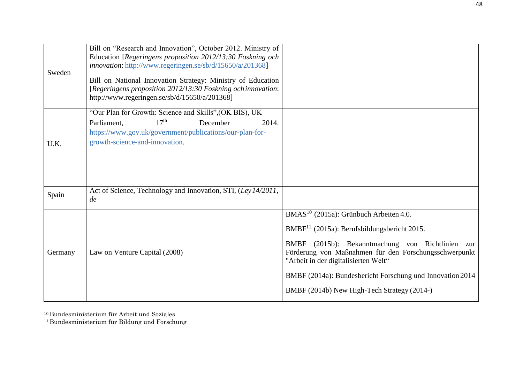| Sweden  | Bill on "Research and Innovation", October 2012. Ministry of<br>Education [Regeringens proposition 2012/13:30 Foskning och<br><i>innovation</i> : http://www.regeringen.se/sb/d/15650/a/201368]<br>Bill on National Innovation Strategy: Ministry of Education<br>[Regeringens proposition 2012/13:30 Foskning ochinnovation:<br>http://www.regeringen.se/sb/d/15650/a/201368] |                                                                                                                                                                                                                                                                                                                                                                                          |
|---------|--------------------------------------------------------------------------------------------------------------------------------------------------------------------------------------------------------------------------------------------------------------------------------------------------------------------------------------------------------------------------------|------------------------------------------------------------------------------------------------------------------------------------------------------------------------------------------------------------------------------------------------------------------------------------------------------------------------------------------------------------------------------------------|
| U.K.    | "Our Plan for Growth: Science and Skills", (OK BIS), UK<br>17 <sup>th</sup><br>Parliament,<br>December<br>2014.<br>https://www.gov.uk/government/publications/our-plan-for-<br>growth-science-and-innovation.                                                                                                                                                                  |                                                                                                                                                                                                                                                                                                                                                                                          |
| Spain   | Act of Science, Technology and Innovation, STI, (Ley 14/2011,<br>de                                                                                                                                                                                                                                                                                                            |                                                                                                                                                                                                                                                                                                                                                                                          |
| Germany | Law on Venture Capital (2008)                                                                                                                                                                                                                                                                                                                                                  | BMAS <sup>10</sup> (2015a): Grünbuch Arbeiten 4.0.<br>BMBF <sup>11</sup> (2015a): Berufsbildungsbericht 2015.<br>(2015b): Bekanntmachung von Richtlinien zur<br><b>BMBF</b><br>Förderung von Maßnahmen für den Forschungsschwerpunkt<br>"Arbeit in der digitalisierten Welt"<br>BMBF (2014a): Bundesbericht Forschung und Innovation 2014<br>BMBF (2014b) New High-Tech Strategy (2014-) |

<span id="page-48-1"></span><span id="page-48-0"></span><sup>10</sup> Bundesministerium für Arbeit und Soziales

<sup>11</sup> Bundesministerium für Bildung und Forschung